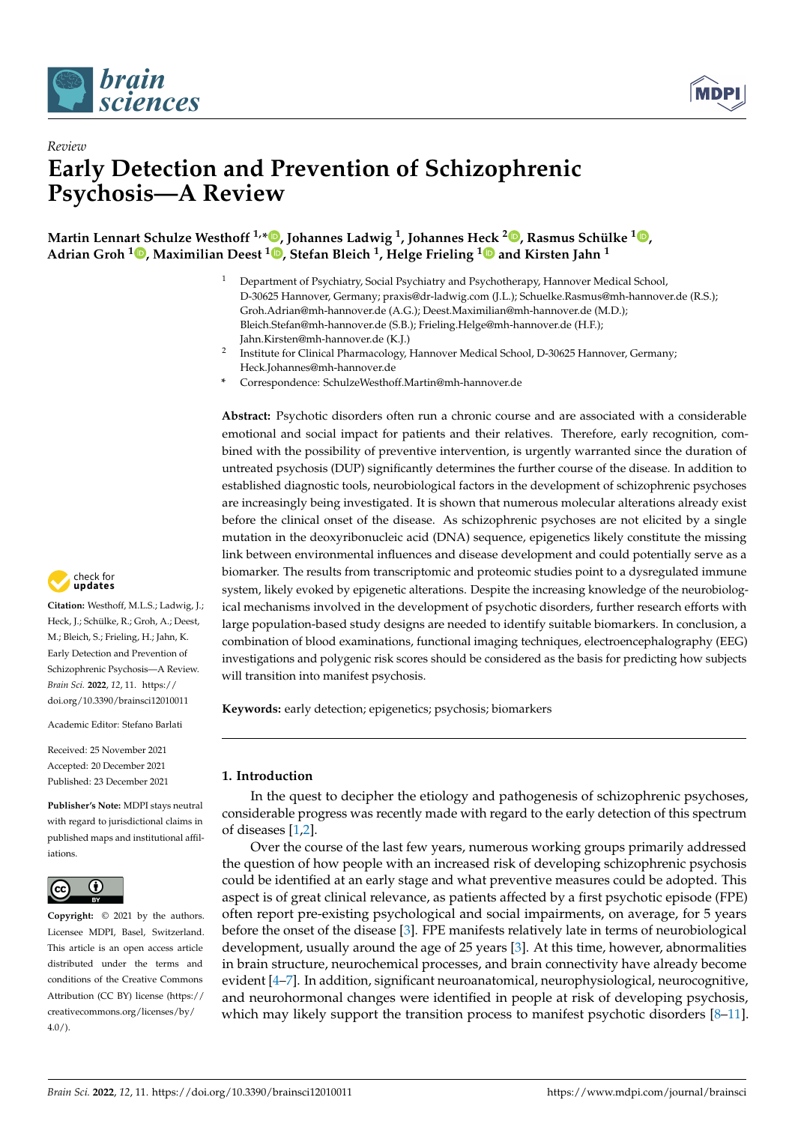



# *Review* **Early Detection and Prevention of Schizophrenic Psychosis—A Review**

**Martin Lennart Schulze Westhoff 1,\* [,](https://orcid.org/0000-0003-3262-8137) Johannes Ladwig <sup>1</sup> , Johannes H[eck](https://orcid.org/0000-0001-5146-9720) <sup>2</sup> [,](https://orcid.org/0000-0002-5382-3014) Rasmus Schülke <sup>1</sup> [,](https://orcid.org/0000-0001-7631-1786) Adrian Groh <sup>1</sup> [,](https://orcid.org/0000-0002-4407-3557) Maximilian Deest <sup>1</sup> [,](https://orcid.org/0000-0002-8759-8660) Stefan Bleich <sup>1</sup> , Helge Frieling <sup>1</sup> and Kirsten Jahn <sup>1</sup>**

- <sup>1</sup> Department of Psychiatry, Social Psychiatry and Psychotherapy, Hannover Medical School, D-30625 Hannover, Germany; praxis@dr-ladwig.com (J.L.); Schuelke.Rasmus@mh-hannover.de (R.S.); Groh.Adrian@mh-hannover.de (A.G.); Deest.Maximilian@mh-hannover.de (M.D.); Bleich.Stefan@mh-hannover.de (S.B.); Frieling.Helge@mh-hannover.de (H.F.); Jahn.Kirsten@mh-hannover.de (K.J.)
- 2 Institute for Clinical Pharmacology, Hannover Medical School, D-30625 Hannover, Germany; Heck.Johannes@mh-hannover.de
- **\*** Correspondence: SchulzeWesthoff.Martin@mh-hannover.de

**Abstract:** Psychotic disorders often run a chronic course and are associated with a considerable emotional and social impact for patients and their relatives. Therefore, early recognition, combined with the possibility of preventive intervention, is urgently warranted since the duration of untreated psychosis (DUP) significantly determines the further course of the disease. In addition to established diagnostic tools, neurobiological factors in the development of schizophrenic psychoses are increasingly being investigated. It is shown that numerous molecular alterations already exist before the clinical onset of the disease. As schizophrenic psychoses are not elicited by a single mutation in the deoxyribonucleic acid (DNA) sequence, epigenetics likely constitute the missing link between environmental influences and disease development and could potentially serve as a biomarker. The results from transcriptomic and proteomic studies point to a dysregulated immune system, likely evoked by epigenetic alterations. Despite the increasing knowledge of the neurobiological mechanisms involved in the development of psychotic disorders, further research efforts with large population-based study designs are needed to identify suitable biomarkers. In conclusion, a combination of blood examinations, functional imaging techniques, electroencephalography (EEG) investigations and polygenic risk scores should be considered as the basis for predicting how subjects will transition into manifest psychosis.

**Keywords:** early detection; epigenetics; psychosis; biomarkers

# **1. Introduction**

In the quest to decipher the etiology and pathogenesis of schizophrenic psychoses, considerable progress was recently made with regard to the early detection of this spectrum of diseases [\[1,](#page-10-0)[2\]](#page-10-1).

Over the course of the last few years, numerous working groups primarily addressed the question of how people with an increased risk of developing schizophrenic psychosis could be identified at an early stage and what preventive measures could be adopted. This aspect is of great clinical relevance, as patients affected by a first psychotic episode (FPE) often report pre-existing psychological and social impairments, on average, for 5 years before the onset of the disease [\[3\]](#page-10-2). FPE manifests relatively late in terms of neurobiological development, usually around the age of 25 years [\[3\]](#page-10-2). At this time, however, abnormalities in brain structure, neurochemical processes, and brain connectivity have already become evident [\[4](#page-10-3)[–7\]](#page-10-4). In addition, significant neuroanatomical, neurophysiological, neurocognitive, and neurohormonal changes were identified in people at risk of developing psychosis, which may likely support the transition process to manifest psychotic disorders [\[8](#page-10-5)[–11\]](#page-10-6).



**Citation:** Westhoff, M.L.S.; Ladwig, J.; Heck, J.; Schülke, R.; Groh, A.; Deest, M.; Bleich, S.; Frieling, H.; Jahn, K. Early Detection and Prevention of Schizophrenic Psychosis—A Review. *Brain Sci.* **2022**, *12*, 11. [https://](https://doi.org/10.3390/brainsci12010011) [doi.org/10.3390/brainsci12010011](https://doi.org/10.3390/brainsci12010011)

Academic Editor: Stefano Barlati

Received: 25 November 2021 Accepted: 20 December 2021 Published: 23 December 2021

**Publisher's Note:** MDPI stays neutral with regard to jurisdictional claims in published maps and institutional affiliations.



**Copyright:** © 2021 by the authors. Licensee MDPI, Basel, Switzerland. This article is an open access article distributed under the terms and conditions of the Creative Commons Attribution (CC BY) license [\(https://](https://creativecommons.org/licenses/by/4.0/) [creativecommons.org/licenses/by/](https://creativecommons.org/licenses/by/4.0/)  $4.0/$ ).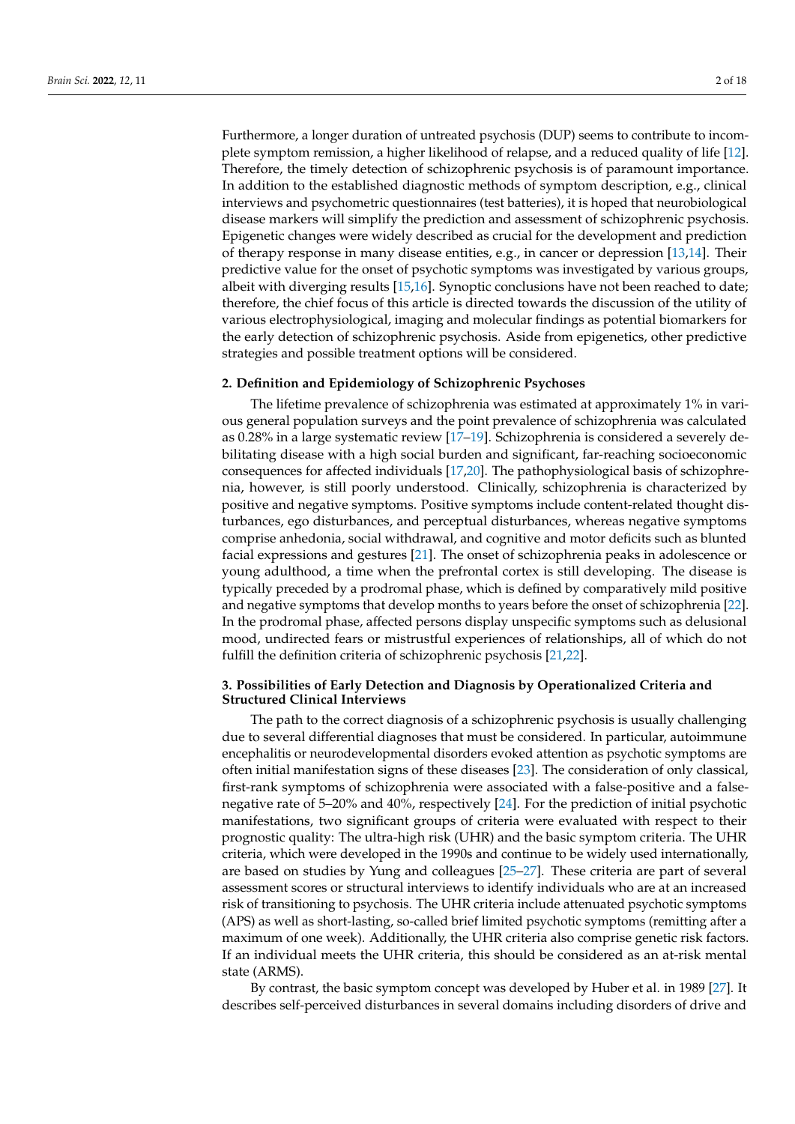Furthermore, a longer duration of untreated psychosis (DUP) seems to contribute to incomplete symptom remission, a higher likelihood of relapse, and a reduced quality of life [\[12\]](#page-10-7). Therefore, the timely detection of schizophrenic psychosis is of paramount importance. In addition to the established diagnostic methods of symptom description, e.g., clinical interviews and psychometric questionnaires (test batteries), it is hoped that neurobiological disease markers will simplify the prediction and assessment of schizophrenic psychosis. Epigenetic changes were widely described as crucial for the development and prediction of therapy response in many disease entities, e.g., in cancer or depression [\[13,](#page-10-8)[14\]](#page-10-9). Their predictive value for the onset of psychotic symptoms was investigated by various groups, albeit with diverging results [\[15,](#page-10-10)[16\]](#page-10-11). Synoptic conclusions have not been reached to date; therefore, the chief focus of this article is directed towards the discussion of the utility of various electrophysiological, imaging and molecular findings as potential biomarkers for the early detection of schizophrenic psychosis. Aside from epigenetics, other predictive strategies and possible treatment options will be considered.

#### **2. Definition and Epidemiology of Schizophrenic Psychoses**

The lifetime prevalence of schizophrenia was estimated at approximately 1% in various general population surveys and the point prevalence of schizophrenia was calculated as 0.28% in a large systematic review [\[17](#page-10-12)[–19\]](#page-10-13). Schizophrenia is considered a severely debilitating disease with a high social burden and significant, far-reaching socioeconomic consequences for affected individuals [\[17,](#page-10-12)[20\]](#page-11-0). The pathophysiological basis of schizophrenia, however, is still poorly understood. Clinically, schizophrenia is characterized by positive and negative symptoms. Positive symptoms include content-related thought disturbances, ego disturbances, and perceptual disturbances, whereas negative symptoms comprise anhedonia, social withdrawal, and cognitive and motor deficits such as blunted facial expressions and gestures [\[21\]](#page-11-1). The onset of schizophrenia peaks in adolescence or young adulthood, a time when the prefrontal cortex is still developing. The disease is typically preceded by a prodromal phase, which is defined by comparatively mild positive and negative symptoms that develop months to years before the onset of schizophrenia [\[22\]](#page-11-2). In the prodromal phase, affected persons display unspecific symptoms such as delusional mood, undirected fears or mistrustful experiences of relationships, all of which do not fulfill the definition criteria of schizophrenic psychosis [\[21](#page-11-1)[,22\]](#page-11-2).

## **3. Possibilities of Early Detection and Diagnosis by Operationalized Criteria and Structured Clinical Interviews**

The path to the correct diagnosis of a schizophrenic psychosis is usually challenging due to several differential diagnoses that must be considered. In particular, autoimmune encephalitis or neurodevelopmental disorders evoked attention as psychotic symptoms are often initial manifestation signs of these diseases [\[23\]](#page-11-3). The consideration of only classical, first-rank symptoms of schizophrenia were associated with a false-positive and a falsenegative rate of 5–20% and 40%, respectively [\[24\]](#page-11-4). For the prediction of initial psychotic manifestations, two significant groups of criteria were evaluated with respect to their prognostic quality: The ultra-high risk (UHR) and the basic symptom criteria. The UHR criteria, which were developed in the 1990s and continue to be widely used internationally, are based on studies by Yung and colleagues [\[25–](#page-11-5)[27\]](#page-11-6). These criteria are part of several assessment scores or structural interviews to identify individuals who are at an increased risk of transitioning to psychosis. The UHR criteria include attenuated psychotic symptoms (APS) as well as short-lasting, so-called brief limited psychotic symptoms (remitting after a maximum of one week). Additionally, the UHR criteria also comprise genetic risk factors. If an individual meets the UHR criteria, this should be considered as an at-risk mental state (ARMS).

By contrast, the basic symptom concept was developed by Huber et al. in 1989 [\[27\]](#page-11-6). It describes self-perceived disturbances in several domains including disorders of drive and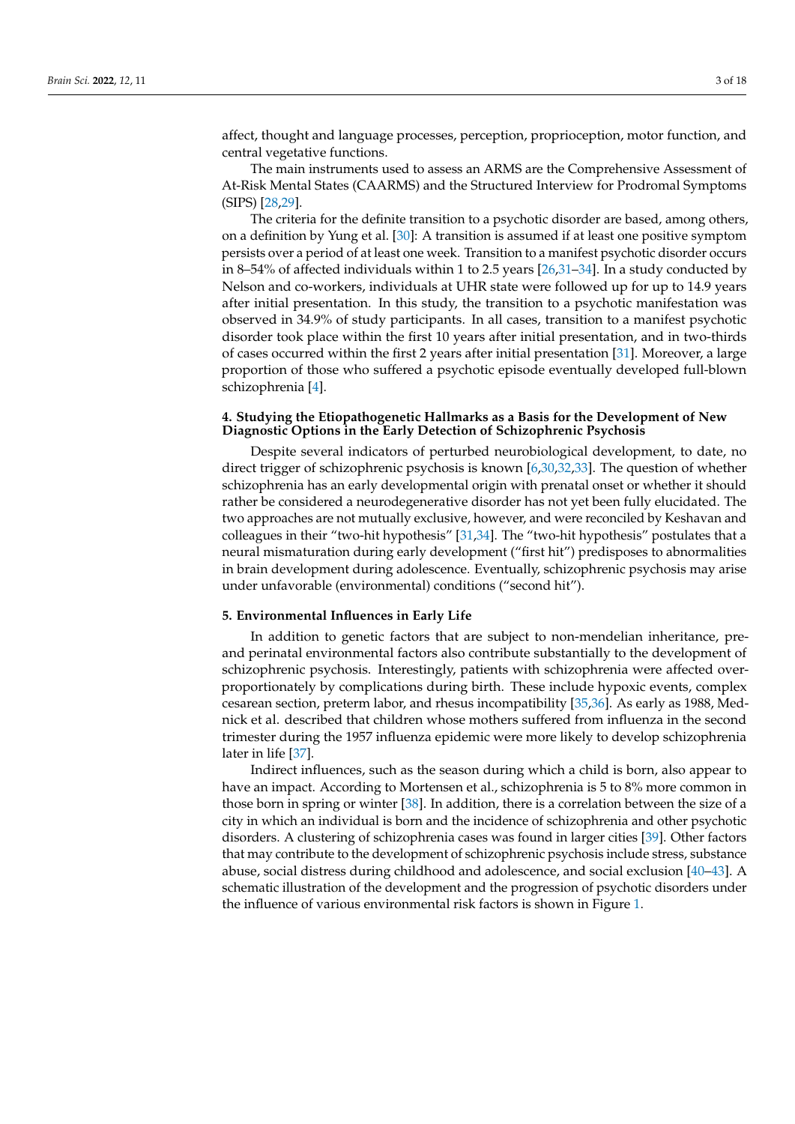affect, thought and language processes, perception, proprioception, motor function, and central vegetative functions.

The main instruments used to assess an ARMS are the Comprehensive Assessment of At-Risk Mental States (CAARMS) and the Structured Interview for Prodromal Symptoms (SIPS) [\[28](#page-11-7)[,29\]](#page-11-8).

The criteria for the definite transition to a psychotic disorder are based, among others, on a definition by Yung et al. [\[30\]](#page-11-9): A transition is assumed if at least one positive symptom persists over a period of at least one week. Transition to a manifest psychotic disorder occurs in 8–54% of affected individuals within 1 to 2.5 years [\[26](#page-11-10)[,31](#page-11-11)[–34\]](#page-11-12). In a study conducted by Nelson and co-workers, individuals at UHR state were followed up for up to 14.9 years after initial presentation. In this study, the transition to a psychotic manifestation was observed in 34.9% of study participants. In all cases, transition to a manifest psychotic disorder took place within the first 10 years after initial presentation, and in two-thirds of cases occurred within the first 2 years after initial presentation [\[31\]](#page-11-11). Moreover, a large proportion of those who suffered a psychotic episode eventually developed full-blown schizophrenia [\[4\]](#page-10-3).

# **4. Studying the Etiopathogenetic Hallmarks as a Basis for the Development of New Diagnostic Options in the Early Detection of Schizophrenic Psychosis**

Despite several indicators of perturbed neurobiological development, to date, no direct trigger of schizophrenic psychosis is known [\[6](#page-10-14)[,30](#page-11-9)[,32](#page-11-13)[,33\]](#page-11-14). The question of whether schizophrenia has an early developmental origin with prenatal onset or whether it should rather be considered a neurodegenerative disorder has not yet been fully elucidated. The two approaches are not mutually exclusive, however, and were reconciled by Keshavan and colleagues in their "two-hit hypothesis" [\[31,](#page-11-11)[34\]](#page-11-12). The "two-hit hypothesis" postulates that a neural mismaturation during early development ("first hit") predisposes to abnormalities in brain development during adolescence. Eventually, schizophrenic psychosis may arise under unfavorable (environmental) conditions ("second hit").

#### **5. Environmental Influences in Early Life**

In addition to genetic factors that are subject to non-mendelian inheritance, preand perinatal environmental factors also contribute substantially to the development of schizophrenic psychosis. Interestingly, patients with schizophrenia were affected overproportionately by complications during birth. These include hypoxic events, complex cesarean section, preterm labor, and rhesus incompatibility [\[35](#page-11-15)[,36\]](#page-11-16). As early as 1988, Mednick et al. described that children whose mothers suffered from influenza in the second trimester during the 1957 influenza epidemic were more likely to develop schizophrenia later in life [\[37\]](#page-11-17).

Indirect influences, such as the season during which a child is born, also appear to have an impact. According to Mortensen et al., schizophrenia is 5 to 8% more common in those born in spring or winter [\[38\]](#page-11-18). In addition, there is a correlation between the size of a city in which an individual is born and the incidence of schizophrenia and other psychotic disorders. A clustering of schizophrenia cases was found in larger cities [\[39\]](#page-11-19). Other factors that may contribute to the development of schizophrenic psychosis include stress, substance abuse, social distress during childhood and adolescence, and social exclusion [\[40–](#page-11-20)[43\]](#page-11-21). A schematic illustration of the development and the progression of psychotic disorders under the influence of various environmental risk factors is shown in Figure [1.](#page-3-0)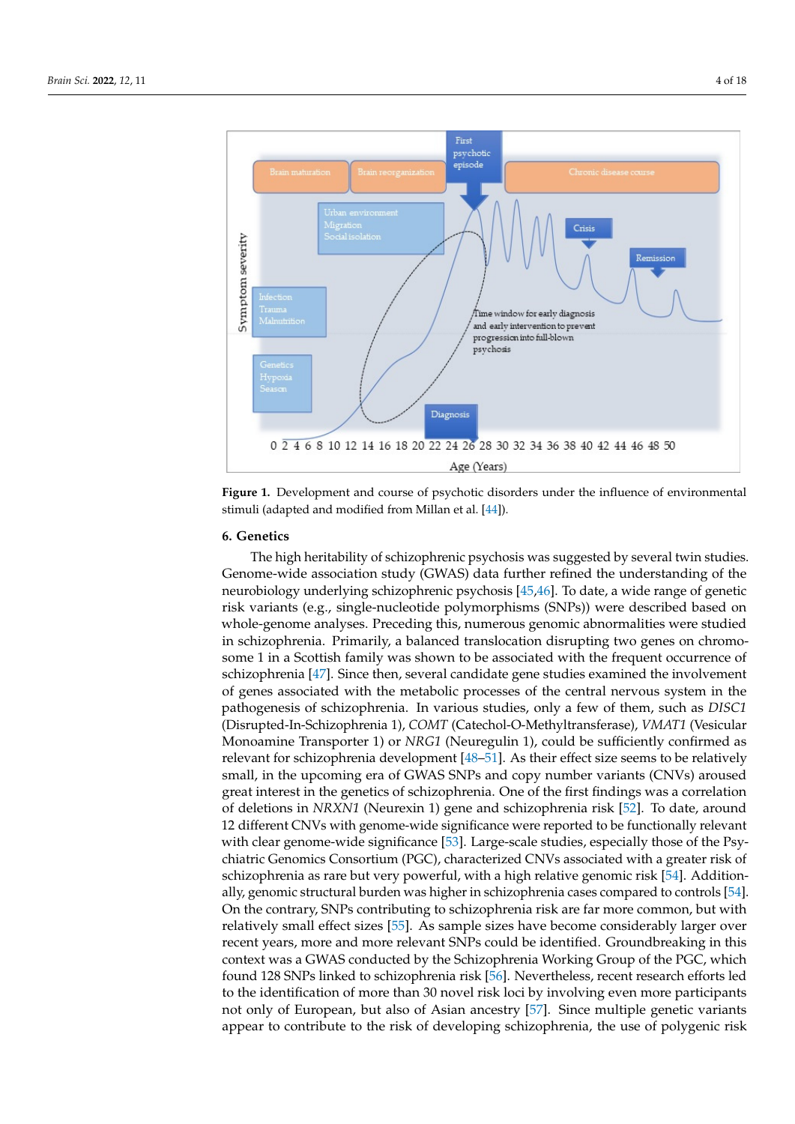<span id="page-3-0"></span>

**Figure 1.** Development and course of psychotic disorders under the influence of environmental **Figure 1.** Development and course of psychotic disorders under the influence of environmental stimuli (adapted and modified from Millan et al. [44]). stimuli (adapted and modified from Millan et al. [\[44\]](#page-11-22)).

# **6. Genetics 6. Genetics**

The high heritability of schizophrenic psychosis was suggested by several twin studies. Genome-wide association study (GWAS) data further refined the understanding of the neurobiology underlying schizophrenic psyc[hos](#page-11-23)[is \[](#page-11-24)45,46]. To date, a wide range of genetic risk variants (e.g., single-nucleotide polymorphisms (SNPs)) were described based on whole-genome analyses. Preceding this, numerous genomic abnormalities were studied in schizophrenia. Primarily, a balanced translocation disrupting two genes on chromosome 1 in a Scottish family was shown to be associated with the frequent occurrence of schizophre[nia](#page-12-0) [47]. Since then, several candidate gene studies examined the involvement of genes associated with the metabolic processes of the central nervous system in the the pathogenesis of schizophrenia. In various studies, only a few of them, such as *DISC1* pathogenesis of schizophrenia. In various studies, only a few of them, such as *DISC1* (Disrupted-In-Schizophrenia 1), *COMT* (Catechol-O-Methyltransferase), *VMAT1* (Vesicu-(Disrupted-In-Schizophrenia 1), *COMT* (Catechol-O-Methyltransferase), *VMAT1* (Vesicular Monoamine Transporter 1) or *NRG1* (Neuregulin 1), could be sufficiently confirmed as relevant for schizophrenia developm[ent](#page-12-1) [\[48–](#page-12-2)51]. As their effect size seems to be relatively small, in the upcoming era of GWAS SNPs and copy number variants (CNVs) aroused great interest in the genetics of schizophrenia. One of the first findings was a correlation of deletions in *NRXN1* (Neurexin 1) gene and schizophre[nia](#page-12-3) risk [52]. To date, around 12 different CNVs with genome-wide significance were reported to be functionally relevant with clear genome-wi[de s](#page-12-4)ignificance [53]. Large-scale studies, especially those of the Psychiatric Genomics Consortium (PGC), characterized CNVs associated with a greater risk of schizophrenia as rare but very powerful, with a high rel[ativ](#page-12-5)e genomic risk [54]. Addition-ally, genomic structural burden was higher in schizophrenia cases compared to controls [\[54\]](#page-12-5). On the contrary, SNPs contributing to schizophrenia risk are far more common, but with re[lativ](#page-12-6)ely small effect sizes [55]. As sample sizes have become considerably larger over recent years, more and more relevant SNPs could be identified. Groundbreaking in this context was a GWAS conducted by the Schizophrenia Working Group of the PGC, which found 128 SNPs lin[ked](#page-12-7) to schizophrenia risk [56]. Nevertheless, recent research efforts led to the identification of more than 30 novel risk loci by involving even more participants not only of European, but al[so o](#page-12-8)f Asian ancestry [57]. Since multiple genetic variants appear to contribute to the risk of developing schizophrenia, the use of polygenic risk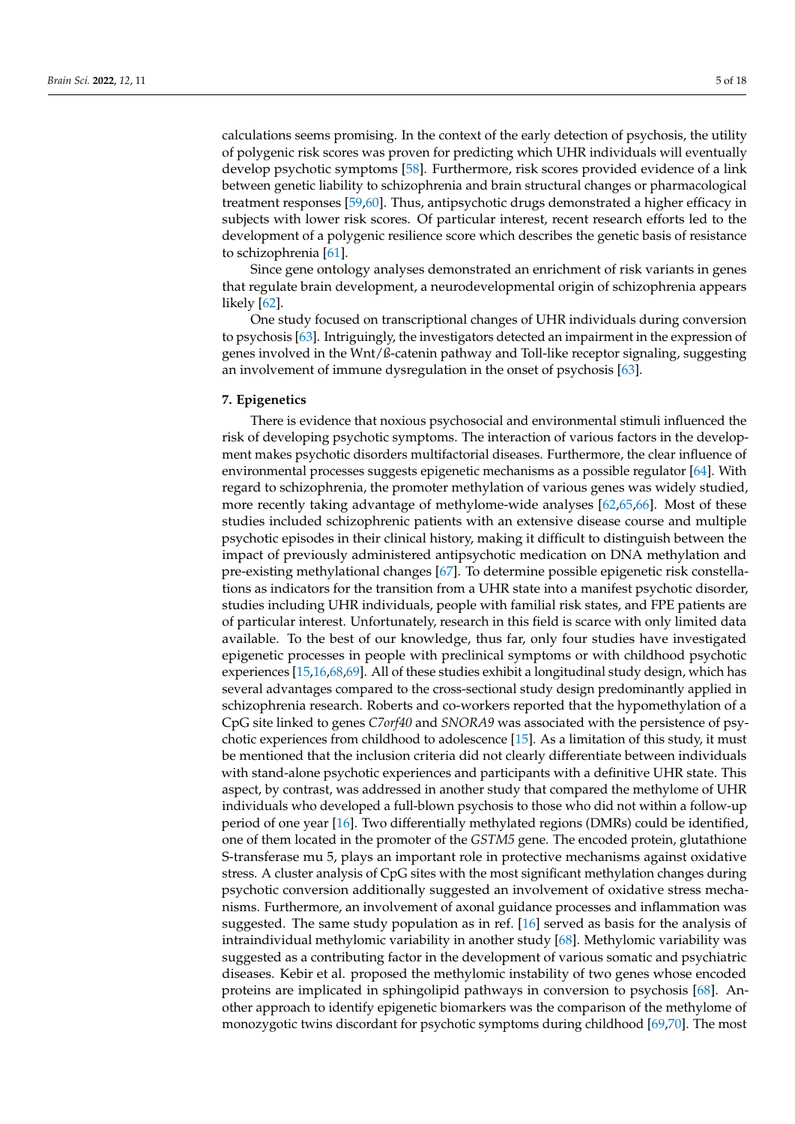calculations seems promising. In the context of the early detection of psychosis, the utility of polygenic risk scores was proven for predicting which UHR individuals will eventually develop psychotic symptoms [\[58\]](#page-12-9). Furthermore, risk scores provided evidence of a link between genetic liability to schizophrenia and brain structural changes or pharmacological treatment responses [\[59](#page-12-10)[,60\]](#page-12-11). Thus, antipsychotic drugs demonstrated a higher efficacy in subjects with lower risk scores. Of particular interest, recent research efforts led to the development of a polygenic resilience score which describes the genetic basis of resistance to schizophrenia [\[61\]](#page-12-12).

Since gene ontology analyses demonstrated an enrichment of risk variants in genes that regulate brain development, a neurodevelopmental origin of schizophrenia appears likely [\[62\]](#page-12-13).

One study focused on transcriptional changes of UHR individuals during conversion to psychosis [\[63\]](#page-12-14). Intriguingly, the investigators detected an impairment in the expression of genes involved in the Wnt/ß-catenin pathway and Toll-like receptor signaling, suggesting an involvement of immune dysregulation in the onset of psychosis [\[63\]](#page-12-14).

# **7. Epigenetics**

There is evidence that noxious psychosocial and environmental stimuli influenced the risk of developing psychotic symptoms. The interaction of various factors in the development makes psychotic disorders multifactorial diseases. Furthermore, the clear influence of environmental processes suggests epigenetic mechanisms as a possible regulator [\[64\]](#page-12-15). With regard to schizophrenia, the promoter methylation of various genes was widely studied, more recently taking advantage of methylome-wide analyses [\[62](#page-12-13)[,65](#page-12-16)[,66\]](#page-12-17). Most of these studies included schizophrenic patients with an extensive disease course and multiple psychotic episodes in their clinical history, making it difficult to distinguish between the impact of previously administered antipsychotic medication on DNA methylation and pre-existing methylational changes [\[67\]](#page-12-18). To determine possible epigenetic risk constellations as indicators for the transition from a UHR state into a manifest psychotic disorder, studies including UHR individuals, people with familial risk states, and FPE patients are of particular interest. Unfortunately, research in this field is scarce with only limited data available. To the best of our knowledge, thus far, only four studies have investigated epigenetic processes in people with preclinical symptoms or with childhood psychotic experiences [\[15,](#page-10-10)[16,](#page-10-11)[68](#page-12-19)[,69\]](#page-13-0). All of these studies exhibit a longitudinal study design, which has several advantages compared to the cross-sectional study design predominantly applied in schizophrenia research. Roberts and co-workers reported that the hypomethylation of a CpG site linked to genes *C7orf40* and *SNORA9* was associated with the persistence of psychotic experiences from childhood to adolescence [\[15\]](#page-10-10). As a limitation of this study, it must be mentioned that the inclusion criteria did not clearly differentiate between individuals with stand-alone psychotic experiences and participants with a definitive UHR state. This aspect, by contrast, was addressed in another study that compared the methylome of UHR individuals who developed a full-blown psychosis to those who did not within a follow-up period of one year [\[16\]](#page-10-11). Two differentially methylated regions (DMRs) could be identified, one of them located in the promoter of the *GSTM5* gene. The encoded protein, glutathione S-transferase mu 5, plays an important role in protective mechanisms against oxidative stress. A cluster analysis of CpG sites with the most significant methylation changes during psychotic conversion additionally suggested an involvement of oxidative stress mechanisms. Furthermore, an involvement of axonal guidance processes and inflammation was suggested. The same study population as in ref. [\[16\]](#page-10-11) served as basis for the analysis of intraindividual methylomic variability in another study [\[68\]](#page-12-19). Methylomic variability was suggested as a contributing factor in the development of various somatic and psychiatric diseases. Kebir et al. proposed the methylomic instability of two genes whose encoded proteins are implicated in sphingolipid pathways in conversion to psychosis [\[68\]](#page-12-19). Another approach to identify epigenetic biomarkers was the comparison of the methylome of monozygotic twins discordant for psychotic symptoms during childhood [\[69](#page-13-0)[,70\]](#page-13-1). The most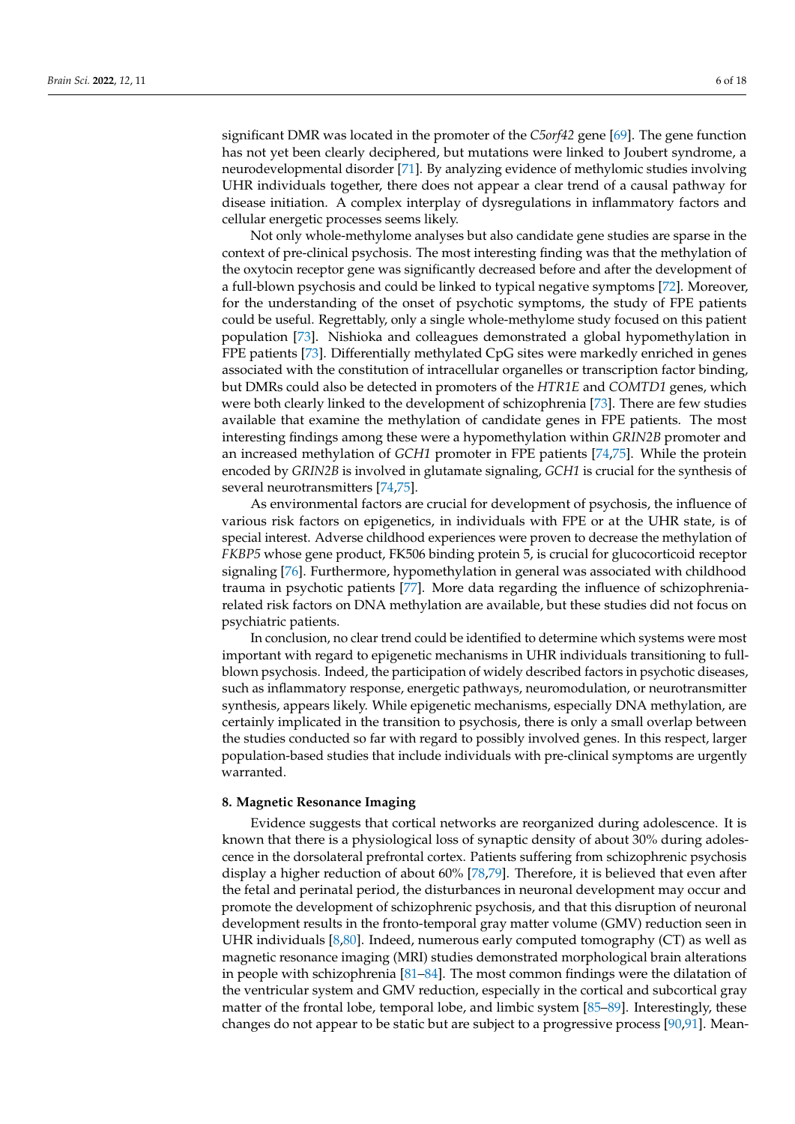significant DMR was located in the promoter of the *C5orf42* gene [\[69\]](#page-13-0). The gene function has not yet been clearly deciphered, but mutations were linked to Joubert syndrome, a neurodevelopmental disorder [\[71\]](#page-13-2). By analyzing evidence of methylomic studies involving UHR individuals together, there does not appear a clear trend of a causal pathway for disease initiation. A complex interplay of dysregulations in inflammatory factors and cellular energetic processes seems likely.

Not only whole-methylome analyses but also candidate gene studies are sparse in the context of pre-clinical psychosis. The most interesting finding was that the methylation of the oxytocin receptor gene was significantly decreased before and after the development of a full-blown psychosis and could be linked to typical negative symptoms [\[72\]](#page-13-3). Moreover, for the understanding of the onset of psychotic symptoms, the study of FPE patients could be useful. Regrettably, only a single whole-methylome study focused on this patient population [\[73\]](#page-13-4). Nishioka and colleagues demonstrated a global hypomethylation in FPE patients [\[73\]](#page-13-4). Differentially methylated CpG sites were markedly enriched in genes associated with the constitution of intracellular organelles or transcription factor binding, but DMRs could also be detected in promoters of the *HTR1E* and *COMTD1* genes, which were both clearly linked to the development of schizophrenia [\[73\]](#page-13-4). There are few studies available that examine the methylation of candidate genes in FPE patients. The most interesting findings among these were a hypomethylation within *GRIN2B* promoter and an increased methylation of *GCH1* promoter in FPE patients [\[74](#page-13-5)[,75\]](#page-13-6). While the protein encoded by *GRIN2B* is involved in glutamate signaling, *GCH1* is crucial for the synthesis of several neurotransmitters [\[74](#page-13-5)[,75\]](#page-13-6).

As environmental factors are crucial for development of psychosis, the influence of various risk factors on epigenetics, in individuals with FPE or at the UHR state, is of special interest. Adverse childhood experiences were proven to decrease the methylation of *FKBP5* whose gene product, FK506 binding protein 5, is crucial for glucocorticoid receptor signaling [\[76\]](#page-13-7). Furthermore, hypomethylation in general was associated with childhood trauma in psychotic patients [\[77\]](#page-13-8). More data regarding the influence of schizophreniarelated risk factors on DNA methylation are available, but these studies did not focus on psychiatric patients.

In conclusion, no clear trend could be identified to determine which systems were most important with regard to epigenetic mechanisms in UHR individuals transitioning to fullblown psychosis. Indeed, the participation of widely described factors in psychotic diseases, such as inflammatory response, energetic pathways, neuromodulation, or neurotransmitter synthesis, appears likely. While epigenetic mechanisms, especially DNA methylation, are certainly implicated in the transition to psychosis, there is only a small overlap between the studies conducted so far with regard to possibly involved genes. In this respect, larger population-based studies that include individuals with pre-clinical symptoms are urgently warranted.

#### **8. Magnetic Resonance Imaging**

Evidence suggests that cortical networks are reorganized during adolescence. It is known that there is a physiological loss of synaptic density of about 30% during adolescence in the dorsolateral prefrontal cortex. Patients suffering from schizophrenic psychosis display a higher reduction of about 60% [\[78](#page-13-9)[,79\]](#page-13-10). Therefore, it is believed that even after the fetal and perinatal period, the disturbances in neuronal development may occur and promote the development of schizophrenic psychosis, and that this disruption of neuronal development results in the fronto-temporal gray matter volume (GMV) reduction seen in UHR individuals [\[8,](#page-10-5)[80\]](#page-13-11). Indeed, numerous early computed tomography (CT) as well as magnetic resonance imaging (MRI) studies demonstrated morphological brain alterations in people with schizophrenia [\[81](#page-13-12)[–84\]](#page-13-13). The most common findings were the dilatation of the ventricular system and GMV reduction, especially in the cortical and subcortical gray matter of the frontal lobe, temporal lobe, and limbic system [\[85](#page-13-14)[–89\]](#page-13-15). Interestingly, these changes do not appear to be static but are subject to a progressive process [\[90,](#page-13-16)[91\]](#page-13-17). Mean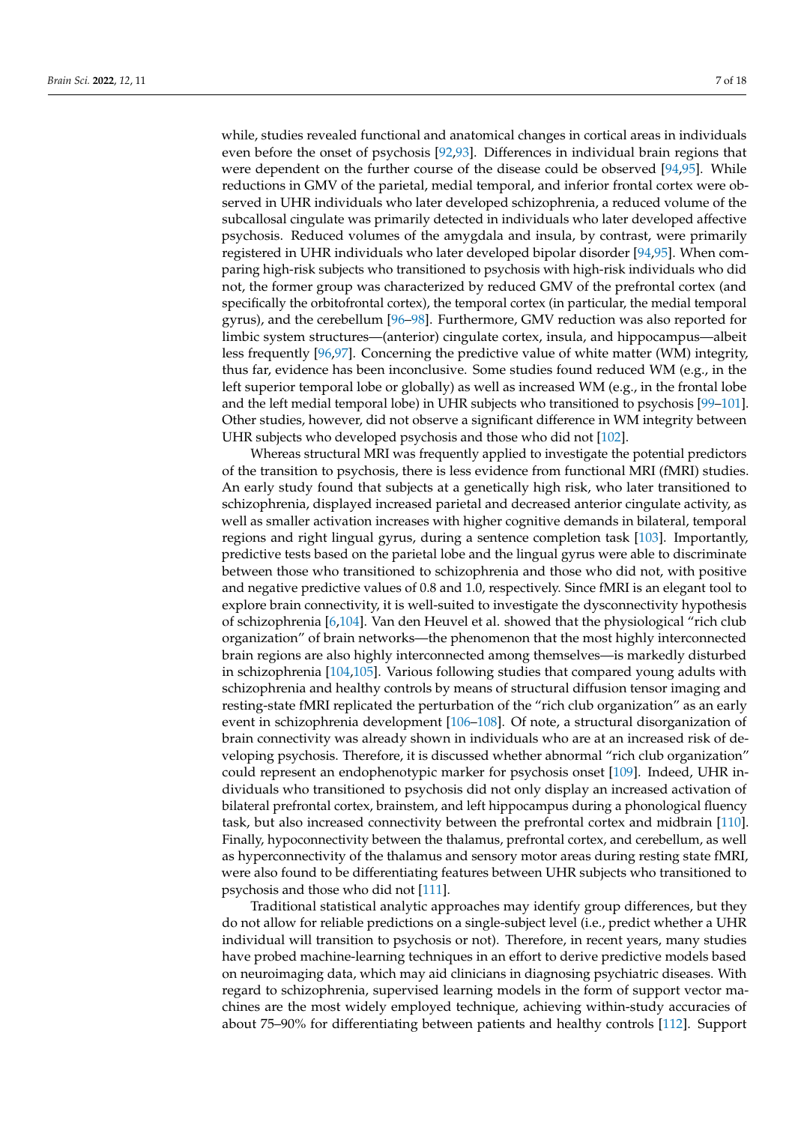while, studies revealed functional and anatomical changes in cortical areas in individuals even before the onset of psychosis [\[92](#page-14-0)[,93\]](#page-14-1). Differences in individual brain regions that were dependent on the further course of the disease could be observed [\[94](#page-14-2)[,95\]](#page-14-3). While reductions in GMV of the parietal, medial temporal, and inferior frontal cortex were observed in UHR individuals who later developed schizophrenia, a reduced volume of the subcallosal cingulate was primarily detected in individuals who later developed affective psychosis. Reduced volumes of the amygdala and insula, by contrast, were primarily registered in UHR individuals who later developed bipolar disorder [\[94,](#page-14-2)[95\]](#page-14-3). When comparing high-risk subjects who transitioned to psychosis with high-risk individuals who did not, the former group was characterized by reduced GMV of the prefrontal cortex (and specifically the orbitofrontal cortex), the temporal cortex (in particular, the medial temporal gyrus), and the cerebellum [\[96](#page-14-4)[–98\]](#page-14-5). Furthermore, GMV reduction was also reported for limbic system structures—(anterior) cingulate cortex, insula, and hippocampus—albeit less frequently [\[96](#page-14-4)[,97\]](#page-14-6). Concerning the predictive value of white matter (WM) integrity, thus far, evidence has been inconclusive. Some studies found reduced WM (e.g., in the left superior temporal lobe or globally) as well as increased WM (e.g., in the frontal lobe and the left medial temporal lobe) in UHR subjects who transitioned to psychosis [\[99](#page-14-7)[–101\]](#page-14-8). Other studies, however, did not observe a significant difference in WM integrity between UHR subjects who developed psychosis and those who did not [\[102\]](#page-14-9).

Whereas structural MRI was frequently applied to investigate the potential predictors of the transition to psychosis, there is less evidence from functional MRI (fMRI) studies. An early study found that subjects at a genetically high risk, who later transitioned to schizophrenia, displayed increased parietal and decreased anterior cingulate activity, as well as smaller activation increases with higher cognitive demands in bilateral, temporal regions and right lingual gyrus, during a sentence completion task [\[103\]](#page-14-10). Importantly, predictive tests based on the parietal lobe and the lingual gyrus were able to discriminate between those who transitioned to schizophrenia and those who did not, with positive and negative predictive values of 0.8 and 1.0, respectively. Since fMRI is an elegant tool to explore brain connectivity, it is well-suited to investigate the dysconnectivity hypothesis of schizophrenia [\[6](#page-10-14)[,104\]](#page-14-11). Van den Heuvel et al. showed that the physiological "rich club organization" of brain networks—the phenomenon that the most highly interconnected brain regions are also highly interconnected among themselves—is markedly disturbed in schizophrenia [\[104,](#page-14-11)[105\]](#page-14-12). Various following studies that compared young adults with schizophrenia and healthy controls by means of structural diffusion tensor imaging and resting-state fMRI replicated the perturbation of the "rich club organization" as an early event in schizophrenia development [\[106–](#page-14-13)[108\]](#page-14-14). Of note, a structural disorganization of brain connectivity was already shown in individuals who are at an increased risk of developing psychosis. Therefore, it is discussed whether abnormal "rich club organization" could represent an endophenotypic marker for psychosis onset [\[109\]](#page-14-15). Indeed, UHR individuals who transitioned to psychosis did not only display an increased activation of bilateral prefrontal cortex, brainstem, and left hippocampus during a phonological fluency task, but also increased connectivity between the prefrontal cortex and midbrain [\[110\]](#page-14-16). Finally, hypoconnectivity between the thalamus, prefrontal cortex, and cerebellum, as well as hyperconnectivity of the thalamus and sensory motor areas during resting state fMRI, were also found to be differentiating features between UHR subjects who transitioned to psychosis and those who did not [\[111\]](#page-14-17).

Traditional statistical analytic approaches may identify group differences, but they do not allow for reliable predictions on a single-subject level (i.e., predict whether a UHR individual will transition to psychosis or not). Therefore, in recent years, many studies have probed machine-learning techniques in an effort to derive predictive models based on neuroimaging data, which may aid clinicians in diagnosing psychiatric diseases. With regard to schizophrenia, supervised learning models in the form of support vector machines are the most widely employed technique, achieving within-study accuracies of about 75–90% for differentiating between patients and healthy controls [\[112\]](#page-14-18). Support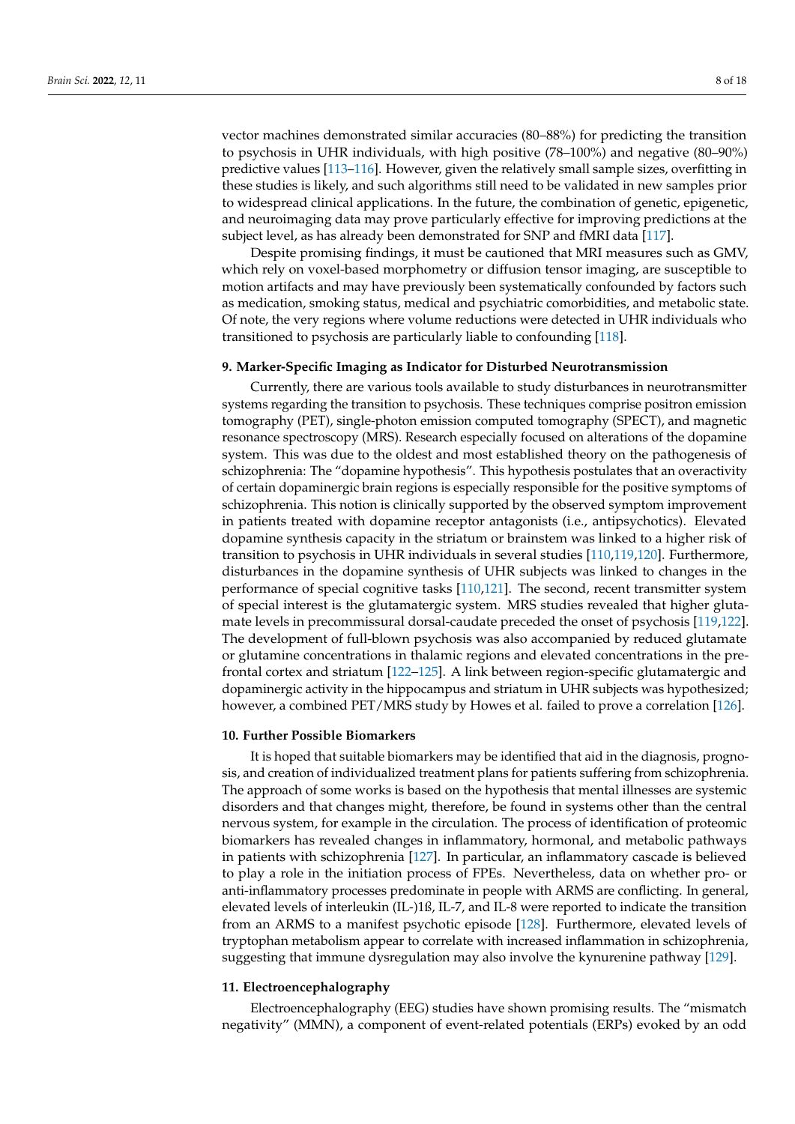vector machines demonstrated similar accuracies (80–88%) for predicting the transition to psychosis in UHR individuals, with high positive (78–100%) and negative (80–90%) predictive values [\[113](#page-14-19)[–116\]](#page-15-0). However, given the relatively small sample sizes, overfitting in these studies is likely, and such algorithms still need to be validated in new samples prior to widespread clinical applications. In the future, the combination of genetic, epigenetic, and neuroimaging data may prove particularly effective for improving predictions at the subject level, as has already been demonstrated for SNP and fMRI data [\[117\]](#page-15-1).

Despite promising findings, it must be cautioned that MRI measures such as GMV, which rely on voxel-based morphometry or diffusion tensor imaging, are susceptible to motion artifacts and may have previously been systematically confounded by factors such as medication, smoking status, medical and psychiatric comorbidities, and metabolic state. Of note, the very regions where volume reductions were detected in UHR individuals who transitioned to psychosis are particularly liable to confounding [\[118\]](#page-15-2).

#### **9. Marker-Specific Imaging as Indicator for Disturbed Neurotransmission**

Currently, there are various tools available to study disturbances in neurotransmitter systems regarding the transition to psychosis. These techniques comprise positron emission tomography (PET), single-photon emission computed tomography (SPECT), and magnetic resonance spectroscopy (MRS). Research especially focused on alterations of the dopamine system. This was due to the oldest and most established theory on the pathogenesis of schizophrenia: The "dopamine hypothesis". This hypothesis postulates that an overactivity of certain dopaminergic brain regions is especially responsible for the positive symptoms of schizophrenia. This notion is clinically supported by the observed symptom improvement in patients treated with dopamine receptor antagonists (i.e., antipsychotics). Elevated dopamine synthesis capacity in the striatum or brainstem was linked to a higher risk of transition to psychosis in UHR individuals in several studies [\[110](#page-14-16)[,119](#page-15-3)[,120\]](#page-15-4). Furthermore, disturbances in the dopamine synthesis of UHR subjects was linked to changes in the performance of special cognitive tasks [\[110,](#page-14-16)[121\]](#page-15-5). The second, recent transmitter system of special interest is the glutamatergic system. MRS studies revealed that higher glutamate levels in precommissural dorsal-caudate preceded the onset of psychosis [\[119,](#page-15-3)[122\]](#page-15-6). The development of full-blown psychosis was also accompanied by reduced glutamate or glutamine concentrations in thalamic regions and elevated concentrations in the prefrontal cortex and striatum [\[122](#page-15-6)[–125\]](#page-15-7). A link between region-specific glutamatergic and dopaminergic activity in the hippocampus and striatum in UHR subjects was hypothesized; however, a combined PET/MRS study by Howes et al. failed to prove a correlation [\[126\]](#page-15-8).

## **10. Further Possible Biomarkers**

It is hoped that suitable biomarkers may be identified that aid in the diagnosis, prognosis, and creation of individualized treatment plans for patients suffering from schizophrenia. The approach of some works is based on the hypothesis that mental illnesses are systemic disorders and that changes might, therefore, be found in systems other than the central nervous system, for example in the circulation. The process of identification of proteomic biomarkers has revealed changes in inflammatory, hormonal, and metabolic pathways in patients with schizophrenia [\[127\]](#page-15-9). In particular, an inflammatory cascade is believed to play a role in the initiation process of FPEs. Nevertheless, data on whether pro- or anti-inflammatory processes predominate in people with ARMS are conflicting. In general, elevated levels of interleukin (IL-)1ß, IL-7, and IL-8 were reported to indicate the transition from an ARMS to a manifest psychotic episode [\[128\]](#page-15-10). Furthermore, elevated levels of tryptophan metabolism appear to correlate with increased inflammation in schizophrenia, suggesting that immune dysregulation may also involve the kynurenine pathway [\[129\]](#page-15-11).

#### **11. Electroencephalography**

Electroencephalography (EEG) studies have shown promising results. The "mismatch negativity" (MMN), a component of event-related potentials (ERPs) evoked by an odd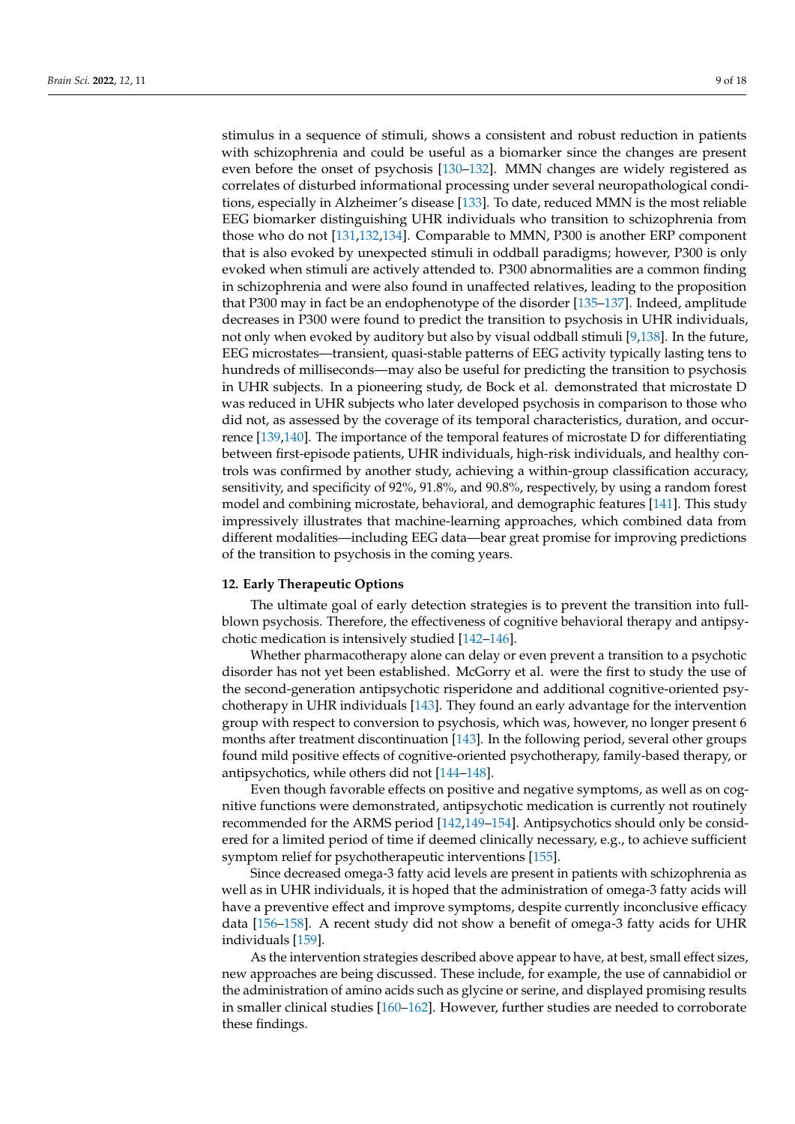stimulus in a sequence of stimuli, shows a consistent and robust reduction in patients with schizophrenia and could be useful as a biomarker since the changes are present even before the onset of psychosis [\[130](#page-15-12)[–132\]](#page-15-13). MMN changes are widely registered as correlates of disturbed informational processing under several neuropathological conditions, especially in Alzheimer's disease [\[133\]](#page-15-14). To date, reduced MMN is the most reliable EEG biomarker distinguishing UHR individuals who transition to schizophrenia from those who do not [\[131,](#page-15-15)[132,](#page-15-13)[134\]](#page-15-16). Comparable to MMN, P300 is another ERP component that is also evoked by unexpected stimuli in oddball paradigms; however, P300 is only evoked when stimuli are actively attended to. P300 abnormalities are a common finding in schizophrenia and were also found in unaffected relatives, leading to the proposition that P300 may in fact be an endophenotype of the disorder [\[135–](#page-15-17)[137\]](#page-15-18). Indeed, amplitude decreases in P300 were found to predict the transition to psychosis in UHR individuals, not only when evoked by auditory but also by visual oddball stimuli [\[9,](#page-10-15)[138\]](#page-16-0). In the future, EEG microstates—transient, quasi-stable patterns of EEG activity typically lasting tens to hundreds of milliseconds—may also be useful for predicting the transition to psychosis in UHR subjects. In a pioneering study, de Bock et al. demonstrated that microstate D was reduced in UHR subjects who later developed psychosis in comparison to those who did not, as assessed by the coverage of its temporal characteristics, duration, and occurrence [\[139,](#page-16-1)[140\]](#page-16-2). The importance of the temporal features of microstate D for differentiating between first-episode patients, UHR individuals, high-risk individuals, and healthy controls was confirmed by another study, achieving a within-group classification accuracy, sensitivity, and specificity of 92%, 91.8%, and 90.8%, respectively, by using a random forest model and combining microstate, behavioral, and demographic features [\[141\]](#page-16-3). This study impressively illustrates that machine-learning approaches, which combined data from different modalities—including EEG data—bear great promise for improving predictions of the transition to psychosis in the coming years.

#### **12. Early Therapeutic Options**

The ultimate goal of early detection strategies is to prevent the transition into fullblown psychosis. Therefore, the effectiveness of cognitive behavioral therapy and antipsychotic medication is intensively studied [\[142–](#page-16-4)[146\]](#page-16-5).

Whether pharmacotherapy alone can delay or even prevent a transition to a psychotic disorder has not yet been established. McGorry et al. were the first to study the use of the second-generation antipsychotic risperidone and additional cognitive-oriented psychotherapy in UHR individuals [\[143\]](#page-16-6). They found an early advantage for the intervention group with respect to conversion to psychosis, which was, however, no longer present 6 months after treatment discontinuation [\[143\]](#page-16-6). In the following period, several other groups found mild positive effects of cognitive-oriented psychotherapy, family-based therapy, or antipsychotics, while others did not [\[144](#page-16-7)[–148\]](#page-16-8).

Even though favorable effects on positive and negative symptoms, as well as on cognitive functions were demonstrated, antipsychotic medication is currently not routinely recommended for the ARMS period [\[142,](#page-16-4)[149](#page-16-9)[–154\]](#page-16-10). Antipsychotics should only be considered for a limited period of time if deemed clinically necessary, e.g., to achieve sufficient symptom relief for psychotherapeutic interventions [\[155\]](#page-16-11).

Since decreased omega-3 fatty acid levels are present in patients with schizophrenia as well as in UHR individuals, it is hoped that the administration of omega-3 fatty acids will have a preventive effect and improve symptoms, despite currently inconclusive efficacy data [\[156–](#page-16-12)[158\]](#page-16-13). A recent study did not show a benefit of omega-3 fatty acids for UHR individuals [\[159\]](#page-16-14).

As the intervention strategies described above appear to have, at best, small effect sizes, new approaches are being discussed. These include, for example, the use of cannabidiol or the administration of amino acids such as glycine or serine, and displayed promising results in smaller clinical studies [\[160–](#page-17-0)[162\]](#page-17-1). However, further studies are needed to corroborate these findings.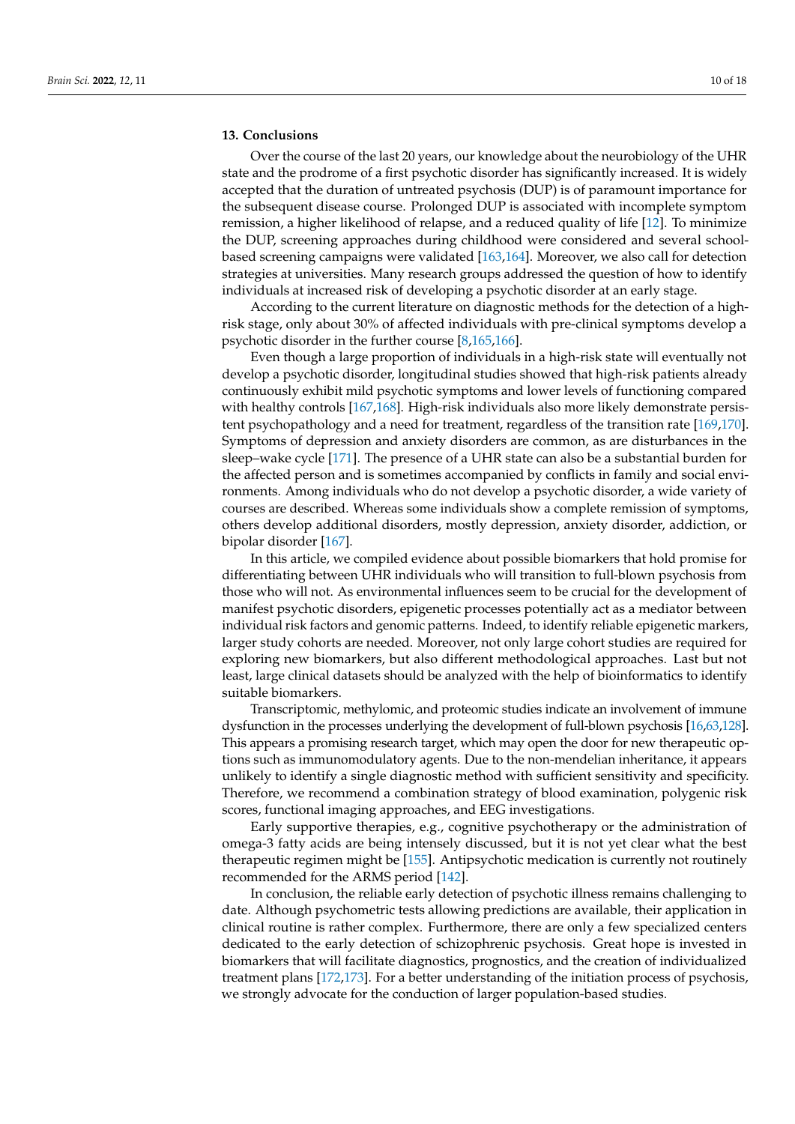# **13. Conclusions**

Over the course of the last 20 years, our knowledge about the neurobiology of the UHR state and the prodrome of a first psychotic disorder has significantly increased. It is widely accepted that the duration of untreated psychosis (DUP) is of paramount importance for the subsequent disease course. Prolonged DUP is associated with incomplete symptom remission, a higher likelihood of relapse, and a reduced quality of life [\[12\]](#page-10-7). To minimize the DUP, screening approaches during childhood were considered and several schoolbased screening campaigns were validated [\[163](#page-17-2)[,164\]](#page-17-3). Moreover, we also call for detection strategies at universities. Many research groups addressed the question of how to identify individuals at increased risk of developing a psychotic disorder at an early stage.

According to the current literature on diagnostic methods for the detection of a highrisk stage, only about 30% of affected individuals with pre-clinical symptoms develop a psychotic disorder in the further course [\[8](#page-10-5)[,165](#page-17-4)[,166\]](#page-17-5).

Even though a large proportion of individuals in a high-risk state will eventually not develop a psychotic disorder, longitudinal studies showed that high-risk patients already continuously exhibit mild psychotic symptoms and lower levels of functioning compared with healthy controls [\[167](#page-17-6)[,168\]](#page-17-7). High-risk individuals also more likely demonstrate persistent psychopathology and a need for treatment, regardless of the transition rate [\[169,](#page-17-8)[170\]](#page-17-9). Symptoms of depression and anxiety disorders are common, as are disturbances in the sleep–wake cycle [\[171\]](#page-17-10). The presence of a UHR state can also be a substantial burden for the affected person and is sometimes accompanied by conflicts in family and social environments. Among individuals who do not develop a psychotic disorder, a wide variety of courses are described. Whereas some individuals show a complete remission of symptoms, others develop additional disorders, mostly depression, anxiety disorder, addiction, or bipolar disorder [\[167\]](#page-17-6).

In this article, we compiled evidence about possible biomarkers that hold promise for differentiating between UHR individuals who will transition to full-blown psychosis from those who will not. As environmental influences seem to be crucial for the development of manifest psychotic disorders, epigenetic processes potentially act as a mediator between individual risk factors and genomic patterns. Indeed, to identify reliable epigenetic markers, larger study cohorts are needed. Moreover, not only large cohort studies are required for exploring new biomarkers, but also different methodological approaches. Last but not least, large clinical datasets should be analyzed with the help of bioinformatics to identify suitable biomarkers.

Transcriptomic, methylomic, and proteomic studies indicate an involvement of immune dysfunction in the processes underlying the development of full-blown psychosis [\[16,](#page-10-11)[63,](#page-12-14)[128\]](#page-15-10). This appears a promising research target, which may open the door for new therapeutic options such as immunomodulatory agents. Due to the non-mendelian inheritance, it appears unlikely to identify a single diagnostic method with sufficient sensitivity and specificity. Therefore, we recommend a combination strategy of blood examination, polygenic risk scores, functional imaging approaches, and EEG investigations.

Early supportive therapies, e.g., cognitive psychotherapy or the administration of omega-3 fatty acids are being intensely discussed, but it is not yet clear what the best therapeutic regimen might be [\[155\]](#page-16-11). Antipsychotic medication is currently not routinely recommended for the ARMS period [\[142\]](#page-16-4).

In conclusion, the reliable early detection of psychotic illness remains challenging to date. Although psychometric tests allowing predictions are available, their application in clinical routine is rather complex. Furthermore, there are only a few specialized centers dedicated to the early detection of schizophrenic psychosis. Great hope is invested in biomarkers that will facilitate diagnostics, prognostics, and the creation of individualized treatment plans [\[172,](#page-17-11)[173\]](#page-17-12). For a better understanding of the initiation process of psychosis, we strongly advocate for the conduction of larger population-based studies.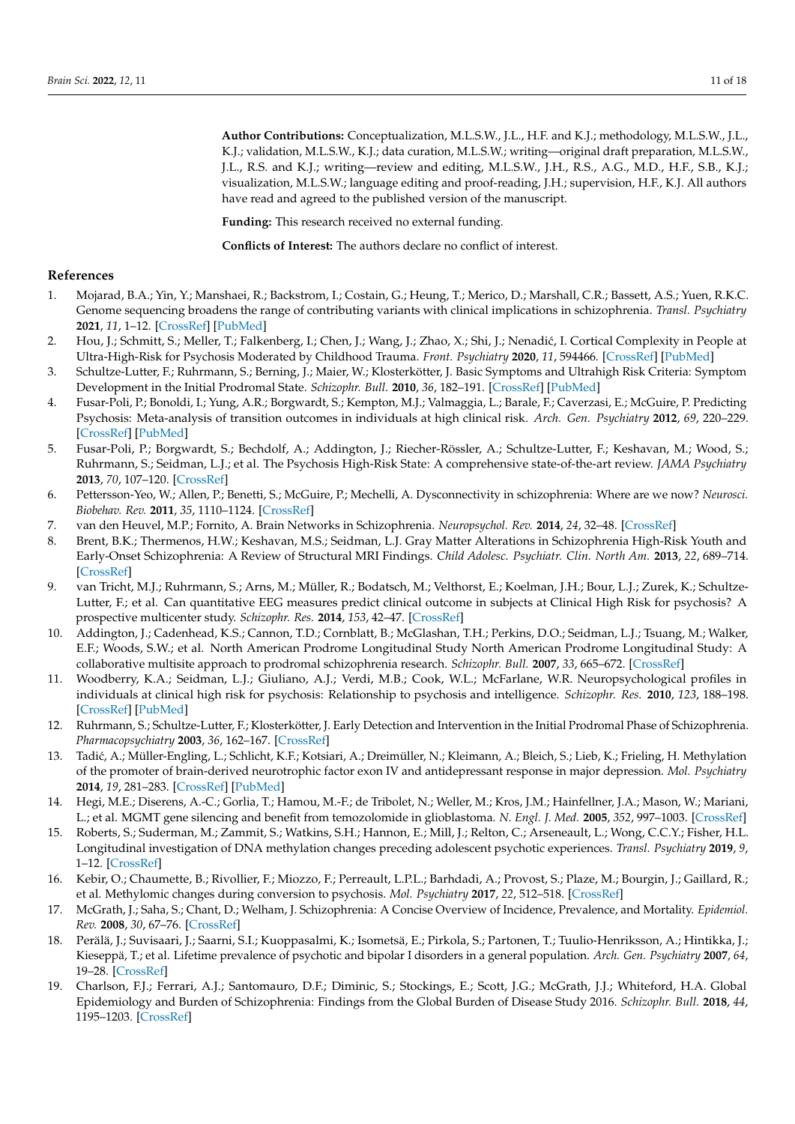**Author Contributions:** Conceptualization, M.L.S.W., J.L., H.F. and K.J.; methodology, M.L.S.W., J.L., K.J.; validation, M.L.S.W., K.J.; data curation, M.L.S.W.; writing—original draft preparation, M.L.S.W., J.L., R.S. and K.J.; writing—review and editing, M.L.S.W., J.H., R.S., A.G., M.D., H.F., S.B., K.J.; visualization, M.L.S.W.; language editing and proof-reading, J.H.; supervision, H.F., K.J. All authors have read and agreed to the published version of the manuscript.

**Funding:** This research received no external funding.

**Conflicts of Interest:** The authors declare no conflict of interest.

#### **References**

- <span id="page-10-0"></span>1. Mojarad, B.A.; Yin, Y.; Manshaei, R.; Backstrom, I.; Costain, G.; Heung, T.; Merico, D.; Marshall, C.R.; Bassett, A.S.; Yuen, R.K.C. Genome sequencing broadens the range of contributing variants with clinical implications in schizophrenia. *Transl. Psychiatry* **2021**, *11*, 1–12. [\[CrossRef\]](http://doi.org/10.1038/s41398-021-01211-2) [\[PubMed\]](http://www.ncbi.nlm.nih.gov/pubmed/33526774)
- <span id="page-10-1"></span>2. Hou, J.; Schmitt, S.; Meller, T.; Falkenberg, I.; Chen, J.; Wang, J.; Zhao, X.; Shi, J.; Nenadić, I. Cortical Complexity in People at Ultra-High-Risk for Psychosis Moderated by Childhood Trauma. *Front. Psychiatry* **2020**, *11*, 594466. [\[CrossRef\]](http://doi.org/10.3389/fpsyt.2020.594466) [\[PubMed\]](http://www.ncbi.nlm.nih.gov/pubmed/33244301)
- <span id="page-10-2"></span>3. Schultze-Lutter, F.; Ruhrmann, S.; Berning, J.; Maier, W.; Klosterkötter, J. Basic Symptoms and Ultrahigh Risk Criteria: Symptom Development in the Initial Prodromal State. *Schizophr. Bull.* **2010**, *36*, 182–191. [\[CrossRef\]](http://doi.org/10.1093/schbul/sbn072) [\[PubMed\]](http://www.ncbi.nlm.nih.gov/pubmed/18579555)
- <span id="page-10-3"></span>4. Fusar-Poli, P.; Bonoldi, I.; Yung, A.R.; Borgwardt, S.; Kempton, M.J.; Valmaggia, L.; Barale, F.; Caverzasi, E.; McGuire, P. Predicting Psychosis: Meta-analysis of transition outcomes in individuals at high clinical risk. *Arch. Gen. Psychiatry* **2012**, *69*, 220–229. [\[CrossRef\]](http://doi.org/10.1001/archgenpsychiatry.2011.1472) [\[PubMed\]](http://www.ncbi.nlm.nih.gov/pubmed/22393215)
- 5. Fusar-Poli, P.; Borgwardt, S.; Bechdolf, A.; Addington, J.; Riecher-Rössler, A.; Schultze-Lutter, F.; Keshavan, M.; Wood, S.; Ruhrmann, S.; Seidman, L.J.; et al. The Psychosis High-Risk State: A comprehensive state-of-the-art review. *JAMA Psychiatry* **2013**, *70*, 107–120. [\[CrossRef\]](http://doi.org/10.1001/jamapsychiatry.2013.269)
- <span id="page-10-14"></span>6. Pettersson-Yeo, W.; Allen, P.; Benetti, S.; McGuire, P.; Mechelli, A. Dysconnectivity in schizophrenia: Where are we now? *Neurosci. Biobehav. Rev.* **2011**, *35*, 1110–1124. [\[CrossRef\]](http://doi.org/10.1016/j.neubiorev.2010.11.004)
- <span id="page-10-4"></span>7. van den Heuvel, M.P.; Fornito, A. Brain Networks in Schizophrenia. *Neuropsychol. Rev.* **2014**, *24*, 32–48. [\[CrossRef\]](http://doi.org/10.1007/s11065-014-9248-7)
- <span id="page-10-5"></span>8. Brent, B.K.; Thermenos, H.W.; Keshavan, M.S.; Seidman, L.J. Gray Matter Alterations in Schizophrenia High-Risk Youth and Early-Onset Schizophrenia: A Review of Structural MRI Findings. *Child Adolesc. Psychiatr. Clin. North Am.* **2013**, *22*, 689–714. [\[CrossRef\]](http://doi.org/10.1016/j.chc.2013.06.003)
- <span id="page-10-15"></span>9. van Tricht, M.J.; Ruhrmann, S.; Arns, M.; Müller, R.; Bodatsch, M.; Velthorst, E.; Koelman, J.H.; Bour, L.J.; Zurek, K.; Schultze-Lutter, F.; et al. Can quantitative EEG measures predict clinical outcome in subjects at Clinical High Risk for psychosis? A prospective multicenter study. *Schizophr. Res.* **2014**, *153*, 42–47. [\[CrossRef\]](http://doi.org/10.1016/j.schres.2014.01.019)
- 10. Addington, J.; Cadenhead, K.S.; Cannon, T.D.; Cornblatt, B.; McGlashan, T.H.; Perkins, D.O.; Seidman, L.J.; Tsuang, M.; Walker, E.F.; Woods, S.W.; et al. North American Prodrome Longitudinal Study North American Prodrome Longitudinal Study: A collaborative multisite approach to prodromal schizophrenia research. *Schizophr. Bull.* **2007**, *33*, 665–672. [\[CrossRef\]](http://doi.org/10.1093/schbul/sbl075)
- <span id="page-10-6"></span>11. Woodberry, K.A.; Seidman, L.J.; Giuliano, A.J.; Verdi, M.B.; Cook, W.L.; McFarlane, W.R. Neuropsychological profiles in individuals at clinical high risk for psychosis: Relationship to psychosis and intelligence. *Schizophr. Res.* **2010**, *123*, 188–198. [\[CrossRef\]](http://doi.org/10.1016/j.schres.2010.06.021) [\[PubMed\]](http://www.ncbi.nlm.nih.gov/pubmed/20692125)
- <span id="page-10-7"></span>12. Ruhrmann, S.; Schultze-Lutter, F.; Klosterkötter, J. Early Detection and Intervention in the Initial Prodromal Phase of Schizophrenia. *Pharmacopsychiatry* **2003**, *36*, 162–167. [\[CrossRef\]](http://doi.org/10.1055/s-2003-45125)
- <span id="page-10-8"></span>13. Tadić, A.; Müller-Engling, L.; Schlicht, K.F.; Kotsiari, A.; Dreimüller, N.; Kleimann, A.; Bleich, S.; Lieb, K.; Frieling, H. Methylation of the promoter of brain-derived neurotrophic factor exon IV and antidepressant response in major depression. *Mol. Psychiatry* **2014**, *19*, 281–283. [\[CrossRef\]](http://doi.org/10.1038/mp.2013.58) [\[PubMed\]](http://www.ncbi.nlm.nih.gov/pubmed/23670489)
- <span id="page-10-9"></span>14. Hegi, M.E.; Diserens, A.-C.; Gorlia, T.; Hamou, M.-F.; de Tribolet, N.; Weller, M.; Kros, J.M.; Hainfellner, J.A.; Mason, W.; Mariani, L.; et al. MGMT gene silencing and benefit from temozolomide in glioblastoma. *N. Engl. J. Med.* **2005**, *352*, 997–1003. [\[CrossRef\]](http://doi.org/10.1056/NEJMoa043331)
- <span id="page-10-10"></span>15. Roberts, S.; Suderman, M.; Zammit, S.; Watkins, S.H.; Hannon, E.; Mill, J.; Relton, C.; Arseneault, L.; Wong, C.C.Y.; Fisher, H.L. Longitudinal investigation of DNA methylation changes preceding adolescent psychotic experiences. *Transl. Psychiatry* **2019**, *9*, 1–12. [\[CrossRef\]](http://doi.org/10.1038/s41398-019-0407-8)
- <span id="page-10-11"></span>16. Kebir, O.; Chaumette, B.; Rivollier, F.; Miozzo, F.; Perreault, L.P.L.; Barhdadi, A.; Provost, S.; Plaze, M.; Bourgin, J.; Gaillard, R.; et al. Methylomic changes during conversion to psychosis. *Mol. Psychiatry* **2017**, *22*, 512–518. [\[CrossRef\]](http://doi.org/10.1038/mp.2016.53)
- <span id="page-10-12"></span>17. McGrath, J.; Saha, S.; Chant, D.; Welham, J. Schizophrenia: A Concise Overview of Incidence, Prevalence, and Mortality. *Epidemiol. Rev.* **2008**, *30*, 67–76. [\[CrossRef\]](http://doi.org/10.1093/epirev/mxn001)
- 18. Perälä, J.; Suvisaari, J.; Saarni, S.I.; Kuoppasalmi, K.; Isometsä, E.; Pirkola, S.; Partonen, T.; Tuulio-Henriksson, A.; Hintikka, J.; Kieseppä, T.; et al. Lifetime prevalence of psychotic and bipolar I disorders in a general population. *Arch. Gen. Psychiatry* **2007**, *64*, 19–28. [\[CrossRef\]](http://doi.org/10.1001/archpsyc.64.1.19)
- <span id="page-10-13"></span>19. Charlson, F.J.; Ferrari, A.J.; Santomauro, D.F.; Diminic, S.; Stockings, E.; Scott, J.G.; McGrath, J.J.; Whiteford, H.A. Global Epidemiology and Burden of Schizophrenia: Findings from the Global Burden of Disease Study 2016. *Schizophr. Bull.* **2018**, *44*, 1195–1203. [\[CrossRef\]](http://doi.org/10.1093/schbul/sby058)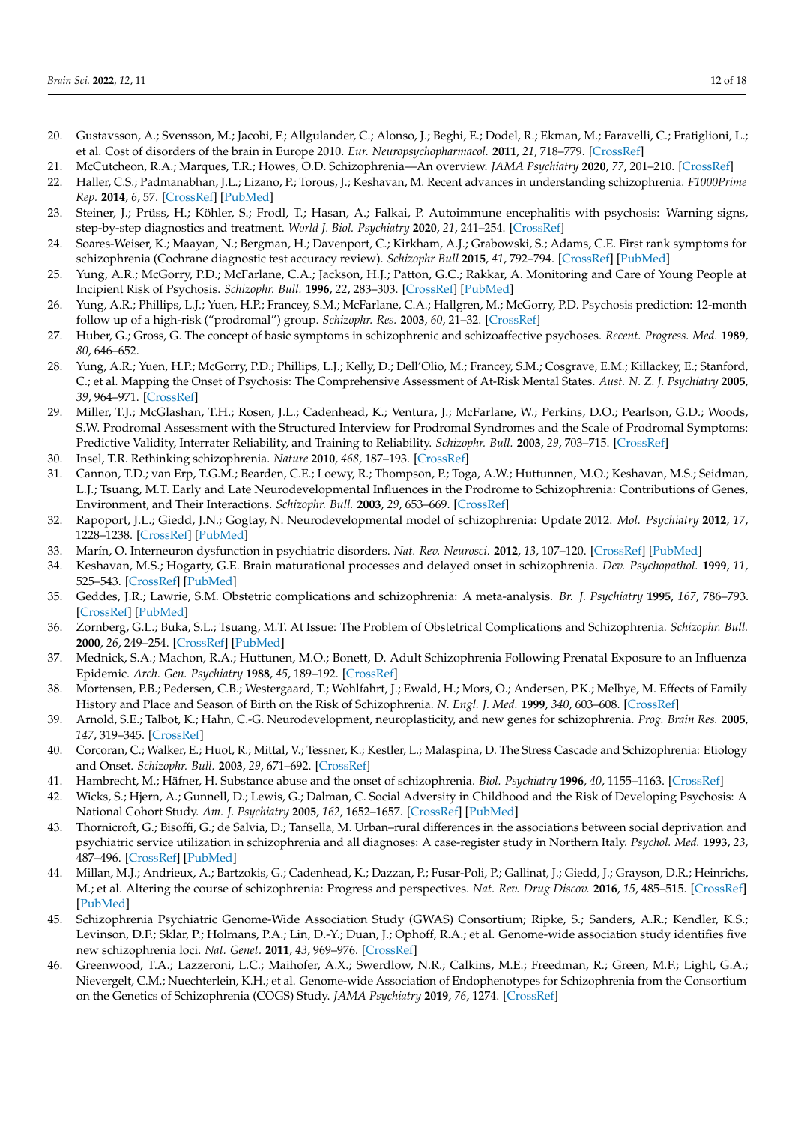- <span id="page-11-0"></span>20. Gustavsson, A.; Svensson, M.; Jacobi, F.; Allgulander, C.; Alonso, J.; Beghi, E.; Dodel, R.; Ekman, M.; Faravelli, C.; Fratiglioni, L.; et al. Cost of disorders of the brain in Europe 2010. *Eur. Neuropsychopharmacol.* **2011**, *21*, 718–779. [\[CrossRef\]](http://doi.org/10.1016/j.euroneuro.2011.08.008)
- <span id="page-11-1"></span>21. McCutcheon, R.A.; Marques, T.R.; Howes, O.D. Schizophrenia—An overview. *JAMA Psychiatry* **2020**, *77*, 201–210. [\[CrossRef\]](http://doi.org/10.1001/jamapsychiatry.2019.3360)
- <span id="page-11-2"></span>22. Haller, C.S.; Padmanabhan, J.L.; Lizano, P.; Torous, J.; Keshavan, M. Recent advances in understanding schizophrenia. *F1000Prime Rep.* **2014**, *6*, 57. [\[CrossRef\]](http://doi.org/10.12703/P6-57) [\[PubMed\]](http://www.ncbi.nlm.nih.gov/pubmed/25184047)
- <span id="page-11-3"></span>23. Steiner, J.; Prüss, H.; Köhler, S.; Frodl, T.; Hasan, A.; Falkai, P. Autoimmune encephalitis with psychosis: Warning signs, step-by-step diagnostics and treatment. *World J. Biol. Psychiatry* **2020**, *21*, 241–254. [\[CrossRef\]](http://doi.org/10.1080/15622975.2018.1555376)
- <span id="page-11-4"></span>24. Soares-Weiser, K.; Maayan, N.; Bergman, H.; Davenport, C.; Kirkham, A.J.; Grabowski, S.; Adams, C.E. First rank symptoms for schizophrenia (Cochrane diagnostic test accuracy review). *Schizophr Bull* **2015**, *41*, 792–794. [\[CrossRef\]](http://doi.org/10.1093/schbul/sbv061) [\[PubMed\]](http://www.ncbi.nlm.nih.gov/pubmed/25939661)
- <span id="page-11-5"></span>25. Yung, A.R.; McGorry, P.D.; McFarlane, C.A.; Jackson, H.J.; Patton, G.C.; Rakkar, A. Monitoring and Care of Young People at Incipient Risk of Psychosis. *Schizophr. Bull.* **1996**, *22*, 283–303. [\[CrossRef\]](http://doi.org/10.1093/schbul/22.2.283) [\[PubMed\]](http://www.ncbi.nlm.nih.gov/pubmed/8782287)
- <span id="page-11-10"></span>26. Yung, A.R.; Phillips, L.J.; Yuen, H.P.; Francey, S.M.; McFarlane, C.A.; Hallgren, M.; McGorry, P.D. Psychosis prediction: 12-month follow up of a high-risk ("prodromal") group. *Schizophr. Res.* **2003**, *60*, 21–32. [\[CrossRef\]](http://doi.org/10.1016/S0920-9964(02)00167-6)
- <span id="page-11-6"></span>27. Huber, G.; Gross, G. The concept of basic symptoms in schizophrenic and schizoaffective psychoses. *Recent. Progress. Med.* **1989**, *80*, 646–652.
- <span id="page-11-7"></span>28. Yung, A.R.; Yuen, H.P.; McGorry, P.D.; Phillips, L.J.; Kelly, D.; Dell'Olio, M.; Francey, S.M.; Cosgrave, E.M.; Killackey, E.; Stanford, C.; et al. Mapping the Onset of Psychosis: The Comprehensive Assessment of At-Risk Mental States. *Aust. N. Z. J. Psychiatry* **2005**, *39*, 964–971. [\[CrossRef\]](http://doi.org/10.1080/j.1440-1614.2005.01714.x)
- <span id="page-11-8"></span>29. Miller, T.J.; McGlashan, T.H.; Rosen, J.L.; Cadenhead, K.; Ventura, J.; McFarlane, W.; Perkins, D.O.; Pearlson, G.D.; Woods, S.W. Prodromal Assessment with the Structured Interview for Prodromal Syndromes and the Scale of Prodromal Symptoms: Predictive Validity, Interrater Reliability, and Training to Reliability. *Schizophr. Bull.* **2003**, *29*, 703–715. [\[CrossRef\]](http://doi.org/10.1093/oxfordjournals.schbul.a007040)
- <span id="page-11-9"></span>30. Insel, T.R. Rethinking schizophrenia. *Nature* **2010**, *468*, 187–193. [\[CrossRef\]](http://doi.org/10.1038/nature09552)
- <span id="page-11-11"></span>31. Cannon, T.D.; van Erp, T.G.M.; Bearden, C.E.; Loewy, R.; Thompson, P.; Toga, A.W.; Huttunnen, M.O.; Keshavan, M.S.; Seidman, L.J.; Tsuang, M.T. Early and Late Neurodevelopmental Influences in the Prodrome to Schizophrenia: Contributions of Genes, Environment, and Their Interactions. *Schizophr. Bull.* **2003**, *29*, 653–669. [\[CrossRef\]](http://doi.org/10.1093/oxfordjournals.schbul.a007037)
- <span id="page-11-13"></span>32. Rapoport, J.L.; Giedd, J.N.; Gogtay, N. Neurodevelopmental model of schizophrenia: Update 2012. *Mol. Psychiatry* **2012**, *17*, 1228–1238. [\[CrossRef\]](http://doi.org/10.1038/mp.2012.23) [\[PubMed\]](http://www.ncbi.nlm.nih.gov/pubmed/22488257)
- <span id="page-11-14"></span>33. Marín, O. Interneuron dysfunction in psychiatric disorders. *Nat. Rev. Neurosci.* **2012**, *13*, 107–120. [\[CrossRef\]](http://doi.org/10.1038/nrn3155) [\[PubMed\]](http://www.ncbi.nlm.nih.gov/pubmed/22251963)
- <span id="page-11-12"></span>34. Keshavan, M.S.; Hogarty, G.E. Brain maturational processes and delayed onset in schizophrenia. *Dev. Psychopathol.* **1999**, *11*, 525–543. [\[CrossRef\]](http://doi.org/10.1017/S0954579499002199) [\[PubMed\]](http://www.ncbi.nlm.nih.gov/pubmed/10532623)
- <span id="page-11-15"></span>35. Geddes, J.R.; Lawrie, S.M. Obstetric complications and schizophrenia: A meta-analysis. *Br. J. Psychiatry* **1995**, *167*, 786–793. [\[CrossRef\]](http://doi.org/10.1192/bjp.167.6.786) [\[PubMed\]](http://www.ncbi.nlm.nih.gov/pubmed/8829748)
- <span id="page-11-16"></span>36. Zornberg, G.L.; Buka, S.L.; Tsuang, M.T. At Issue: The Problem of Obstetrical Complications and Schizophrenia. *Schizophr. Bull.* **2000**, *26*, 249–254. [\[CrossRef\]](http://doi.org/10.1093/oxfordjournals.schbul.a033449) [\[PubMed\]](http://www.ncbi.nlm.nih.gov/pubmed/10885627)
- <span id="page-11-17"></span>37. Mednick, S.A.; Machon, R.A.; Huttunen, M.O.; Bonett, D. Adult Schizophrenia Following Prenatal Exposure to an Influenza Epidemic. *Arch. Gen. Psychiatry* **1988**, *45*, 189–192. [\[CrossRef\]](http://doi.org/10.1001/archpsyc.1988.01800260109013)
- <span id="page-11-18"></span>38. Mortensen, P.B.; Pedersen, C.B.; Westergaard, T.; Wohlfahrt, J.; Ewald, H.; Mors, O.; Andersen, P.K.; Melbye, M. Effects of Family History and Place and Season of Birth on the Risk of Schizophrenia. *N. Engl. J. Med.* **1999**, *340*, 603–608. [\[CrossRef\]](http://doi.org/10.1056/NEJM199902253400803)
- <span id="page-11-19"></span>39. Arnold, S.E.; Talbot, K.; Hahn, C.-G. Neurodevelopment, neuroplasticity, and new genes for schizophrenia. *Prog. Brain Res.* **2005**, *147*, 319–345. [\[CrossRef\]](http://doi.org/10.1016/s0079-6123(04)47023-x)
- <span id="page-11-20"></span>40. Corcoran, C.; Walker, E.; Huot, R.; Mittal, V.; Tessner, K.; Kestler, L.; Malaspina, D. The Stress Cascade and Schizophrenia: Etiology and Onset. *Schizophr. Bull.* **2003**, *29*, 671–692. [\[CrossRef\]](http://doi.org/10.1093/oxfordjournals.schbul.a007038)
- 41. Hambrecht, M.; Häfner, H. Substance abuse and the onset of schizophrenia. *Biol. Psychiatry* **1996**, *40*, 1155–1163. [\[CrossRef\]](http://doi.org/10.1016/S0006-3223(95)00609-5)
- 42. Wicks, S.; Hjern, A.; Gunnell, D.; Lewis, G.; Dalman, C. Social Adversity in Childhood and the Risk of Developing Psychosis: A National Cohort Study. *Am. J. Psychiatry* **2005**, *162*, 1652–1657. [\[CrossRef\]](http://doi.org/10.1176/appi.ajp.162.9.1652) [\[PubMed\]](http://www.ncbi.nlm.nih.gov/pubmed/16135624)
- <span id="page-11-21"></span>43. Thornicroft, G.; Bisoffi, G.; de Salvia, D.; Tansella, M. Urban–rural differences in the associations between social deprivation and psychiatric service utilization in schizophrenia and all diagnoses: A case-register study in Northern Italy. *Psychol. Med.* **1993**, *23*, 487–496. [\[CrossRef\]](http://doi.org/10.1017/S0033291700028579) [\[PubMed\]](http://www.ncbi.nlm.nih.gov/pubmed/8332662)
- <span id="page-11-22"></span>44. Millan, M.J.; Andrieux, A.; Bartzokis, G.; Cadenhead, K.; Dazzan, P.; Fusar-Poli, P.; Gallinat, J.; Giedd, J.; Grayson, D.R.; Heinrichs, M.; et al. Altering the course of schizophrenia: Progress and perspectives. *Nat. Rev. Drug Discov.* **2016**, *15*, 485–515. [\[CrossRef\]](http://doi.org/10.1038/nrd.2016.28) [\[PubMed\]](http://www.ncbi.nlm.nih.gov/pubmed/26939910)
- <span id="page-11-23"></span>45. Schizophrenia Psychiatric Genome-Wide Association Study (GWAS) Consortium; Ripke, S.; Sanders, A.R.; Kendler, K.S.; Levinson, D.F.; Sklar, P.; Holmans, P.A.; Lin, D.-Y.; Duan, J.; Ophoff, R.A.; et al. Genome-wide association study identifies five new schizophrenia loci. *Nat. Genet.* **2011**, *43*, 969–976. [\[CrossRef\]](http://doi.org/10.1038/ng.940)
- <span id="page-11-24"></span>46. Greenwood, T.A.; Lazzeroni, L.C.; Maihofer, A.X.; Swerdlow, N.R.; Calkins, M.E.; Freedman, R.; Green, M.F.; Light, G.A.; Nievergelt, C.M.; Nuechterlein, K.H.; et al. Genome-wide Association of Endophenotypes for Schizophrenia from the Consortium on the Genetics of Schizophrenia (COGS) Study. *JAMA Psychiatry* **2019**, *76*, 1274. [\[CrossRef\]](http://doi.org/10.1001/jamapsychiatry.2019.2850)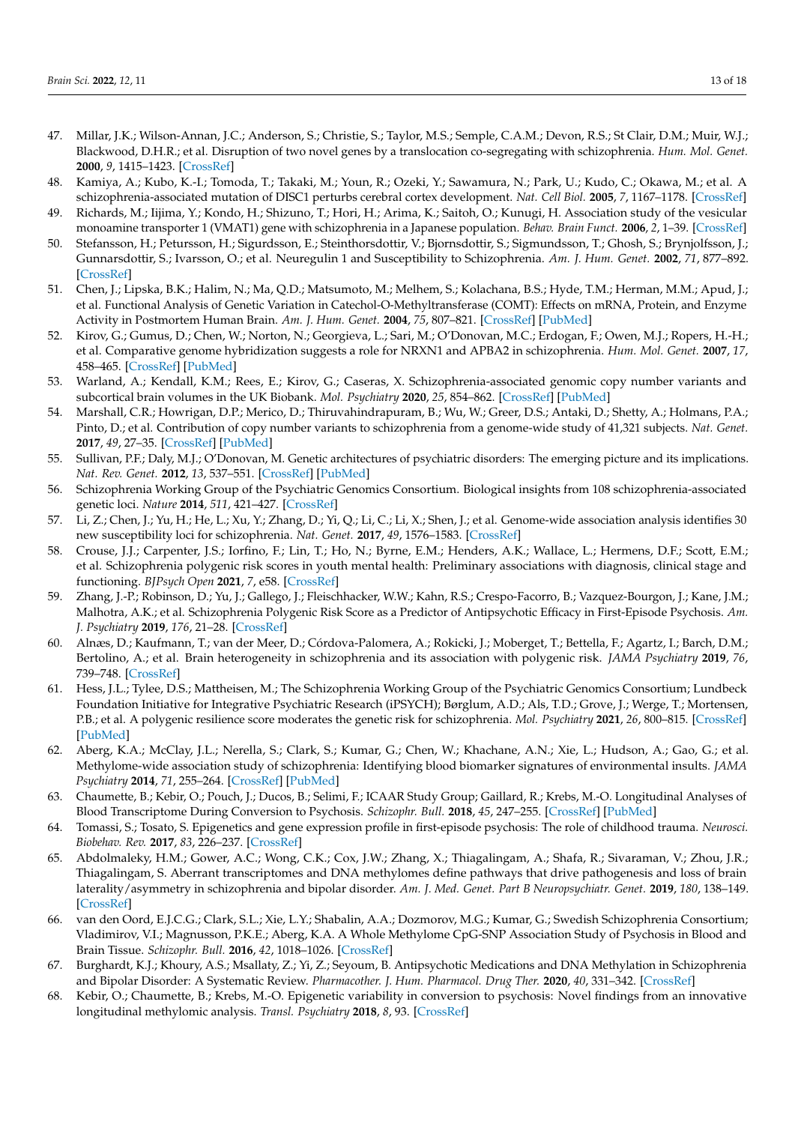- <span id="page-12-0"></span>47. Millar, J.K.; Wilson-Annan, J.C.; Anderson, S.; Christie, S.; Taylor, M.S.; Semple, C.A.M.; Devon, R.S.; St Clair, D.M.; Muir, W.J.; Blackwood, D.H.R.; et al. Disruption of two novel genes by a translocation co-segregating with schizophrenia. *Hum. Mol. Genet.* **2000**, *9*, 1415–1423. [\[CrossRef\]](http://doi.org/10.1093/hmg/9.9.1415)
- <span id="page-12-1"></span>48. Kamiya, A.; Kubo, K.-I.; Tomoda, T.; Takaki, M.; Youn, R.; Ozeki, Y.; Sawamura, N.; Park, U.; Kudo, C.; Okawa, M.; et al. A schizophrenia-associated mutation of DISC1 perturbs cerebral cortex development. *Nat. Cell Biol.* **2005**, *7*, 1167–1178. [\[CrossRef\]](http://doi.org/10.1038/ncb1328)
- 49. Richards, M.; Iijima, Y.; Kondo, H.; Shizuno, T.; Hori, H.; Arima, K.; Saitoh, O.; Kunugi, H. Association study of the vesicular monoamine transporter 1 (VMAT1) gene with schizophrenia in a Japanese population. *Behav. Brain Funct.* **2006**, *2*, 1–39. [\[CrossRef\]](http://doi.org/10.1186/1744-9081-2-39)
- 50. Stefansson, H.; Petursson, H.; Sigurdsson, E.; Steinthorsdottir, V.; Bjornsdottir, S.; Sigmundsson, T.; Ghosh, S.; Brynjolfsson, J.; Gunnarsdottir, S.; Ivarsson, O.; et al. Neuregulin 1 and Susceptibility to Schizophrenia. *Am. J. Hum. Genet.* **2002**, *71*, 877–892. [\[CrossRef\]](http://doi.org/10.1086/342734)
- <span id="page-12-2"></span>51. Chen, J.; Lipska, B.K.; Halim, N.; Ma, Q.D.; Matsumoto, M.; Melhem, S.; Kolachana, B.S.; Hyde, T.M.; Herman, M.M.; Apud, J.; et al. Functional Analysis of Genetic Variation in Catechol-O-Methyltransferase (COMT): Effects on mRNA, Protein, and Enzyme Activity in Postmortem Human Brain. *Am. J. Hum. Genet.* **2004**, *75*, 807–821. [\[CrossRef\]](http://doi.org/10.1086/425589) [\[PubMed\]](http://www.ncbi.nlm.nih.gov/pubmed/15457404)
- <span id="page-12-3"></span>52. Kirov, G.; Gumus, D.; Chen, W.; Norton, N.; Georgieva, L.; Sari, M.; O'Donovan, M.C.; Erdogan, F.; Owen, M.J.; Ropers, H.-H.; et al. Comparative genome hybridization suggests a role for NRXN1 and APBA2 in schizophrenia. *Hum. Mol. Genet.* **2007**, *17*, 458–465. [\[CrossRef\]](http://doi.org/10.1093/hmg/ddm323) [\[PubMed\]](http://www.ncbi.nlm.nih.gov/pubmed/17989066)
- <span id="page-12-4"></span>53. Warland, A.; Kendall, K.M.; Rees, E.; Kirov, G.; Caseras, X. Schizophrenia-associated genomic copy number variants and subcortical brain volumes in the UK Biobank. *Mol. Psychiatry* **2020**, *25*, 854–862. [\[CrossRef\]](http://doi.org/10.1038/s41380-019-0355-y) [\[PubMed\]](http://www.ncbi.nlm.nih.gov/pubmed/30679740)
- <span id="page-12-5"></span>54. Marshall, C.R.; Howrigan, D.P.; Merico, D.; Thiruvahindrapuram, B.; Wu, W.; Greer, D.S.; Antaki, D.; Shetty, A.; Holmans, P.A.; Pinto, D.; et al. Contribution of copy number variants to schizophrenia from a genome-wide study of 41,321 subjects. *Nat. Genet.* **2017**, *49*, 27–35. [\[CrossRef\]](http://doi.org/10.1038/ng.3725) [\[PubMed\]](http://www.ncbi.nlm.nih.gov/pubmed/27869829)
- <span id="page-12-6"></span>55. Sullivan, P.F.; Daly, M.J.; O'Donovan, M. Genetic architectures of psychiatric disorders: The emerging picture and its implications. *Nat. Rev. Genet.* **2012**, *13*, 537–551. [\[CrossRef\]](http://doi.org/10.1038/nrg3240) [\[PubMed\]](http://www.ncbi.nlm.nih.gov/pubmed/22777127)
- <span id="page-12-7"></span>56. Schizophrenia Working Group of the Psychiatric Genomics Consortium. Biological insights from 108 schizophrenia-associated genetic loci. *Nature* **2014**, *511*, 421–427. [\[CrossRef\]](http://doi.org/10.1038/nature13595)
- <span id="page-12-8"></span>57. Li, Z.; Chen, J.; Yu, H.; He, L.; Xu, Y.; Zhang, D.; Yi, Q.; Li, C.; Li, X.; Shen, J.; et al. Genome-wide association analysis identifies 30 new susceptibility loci for schizophrenia. *Nat. Genet.* **2017**, *49*, 1576–1583. [\[CrossRef\]](http://doi.org/10.1038/ng.3973)
- <span id="page-12-9"></span>58. Crouse, J.J.; Carpenter, J.S.; Iorfino, F.; Lin, T.; Ho, N.; Byrne, E.M.; Henders, A.K.; Wallace, L.; Hermens, D.F.; Scott, E.M.; et al. Schizophrenia polygenic risk scores in youth mental health: Preliminary associations with diagnosis, clinical stage and functioning. *BJPsych Open* **2021**, *7*, e58. [\[CrossRef\]](http://doi.org/10.1192/bjo.2021.14)
- <span id="page-12-10"></span>59. Zhang, J.-P.; Robinson, D.; Yu, J.; Gallego, J.; Fleischhacker, W.W.; Kahn, R.S.; Crespo-Facorro, B.; Vazquez-Bourgon, J.; Kane, J.M.; Malhotra, A.K.; et al. Schizophrenia Polygenic Risk Score as a Predictor of Antipsychotic Efficacy in First-Episode Psychosis. *Am. J. Psychiatry* **2019**, *176*, 21–28. [\[CrossRef\]](http://doi.org/10.1176/appi.ajp.2018.17121363)
- <span id="page-12-11"></span>60. Alnæs, D.; Kaufmann, T.; van der Meer, D.; Córdova-Palomera, A.; Rokicki, J.; Moberget, T.; Bettella, F.; Agartz, I.; Barch, D.M.; Bertolino, A.; et al. Brain heterogeneity in schizophrenia and its association with polygenic risk. *JAMA Psychiatry* **2019**, *76*, 739–748. [\[CrossRef\]](http://doi.org/10.1001/jamapsychiatry.2019.0257)
- <span id="page-12-12"></span>61. Hess, J.L.; Tylee, D.S.; Mattheisen, M.; The Schizophrenia Working Group of the Psychiatric Genomics Consortium; Lundbeck Foundation Initiative for Integrative Psychiatric Research (iPSYCH); Børglum, A.D.; Als, T.D.; Grove, J.; Werge, T.; Mortensen, P.B.; et al. A polygenic resilience score moderates the genetic risk for schizophrenia. *Mol. Psychiatry* **2021**, *26*, 800–815. [\[CrossRef\]](http://doi.org/10.1038/s41380-019-0463-8) [\[PubMed\]](http://www.ncbi.nlm.nih.gov/pubmed/31492941)
- <span id="page-12-13"></span>62. Aberg, K.A.; McClay, J.L.; Nerella, S.; Clark, S.; Kumar, G.; Chen, W.; Khachane, A.N.; Xie, L.; Hudson, A.; Gao, G.; et al. Methylome-wide association study of schizophrenia: Identifying blood biomarker signatures of environmental insults. *JAMA Psychiatry* **2014**, *71*, 255–264. [\[CrossRef\]](http://doi.org/10.1001/jamapsychiatry.2013.3730) [\[PubMed\]](http://www.ncbi.nlm.nih.gov/pubmed/24402055)
- <span id="page-12-14"></span>63. Chaumette, B.; Kebir, O.; Pouch, J.; Ducos, B.; Selimi, F.; ICAAR Study Group; Gaillard, R.; Krebs, M.-O. Longitudinal Analyses of Blood Transcriptome During Conversion to Psychosis. *Schizophr. Bull.* **2018**, *45*, 247–255. [\[CrossRef\]](http://doi.org/10.1093/schbul/sby009) [\[PubMed\]](http://www.ncbi.nlm.nih.gov/pubmed/29471546)
- <span id="page-12-15"></span>64. Tomassi, S.; Tosato, S. Epigenetics and gene expression profile in first-episode psychosis: The role of childhood trauma. *Neurosci. Biobehav. Rev.* **2017**, *83*, 226–237. [\[CrossRef\]](http://doi.org/10.1016/j.neubiorev.2017.10.018)
- <span id="page-12-16"></span>65. Abdolmaleky, H.M.; Gower, A.C.; Wong, C.K.; Cox, J.W.; Zhang, X.; Thiagalingam, A.; Shafa, R.; Sivaraman, V.; Zhou, J.R.; Thiagalingam, S. Aberrant transcriptomes and DNA methylomes define pathways that drive pathogenesis and loss of brain laterality/asymmetry in schizophrenia and bipolar disorder. *Am. J. Med. Genet. Part B Neuropsychiatr. Genet.* **2019**, *180*, 138–149. [\[CrossRef\]](http://doi.org/10.1002/ajmg.b.32691)
- <span id="page-12-17"></span>66. van den Oord, E.J.C.G.; Clark, S.L.; Xie, L.Y.; Shabalin, A.A.; Dozmorov, M.G.; Kumar, G.; Swedish Schizophrenia Consortium; Vladimirov, V.I.; Magnusson, P.K.E.; Aberg, K.A. A Whole Methylome CpG-SNP Association Study of Psychosis in Blood and Brain Tissue. *Schizophr. Bull.* **2016**, *42*, 1018–1026. [\[CrossRef\]](http://doi.org/10.1093/schbul/sbv182)
- <span id="page-12-18"></span>67. Burghardt, K.J.; Khoury, A.S.; Msallaty, Z.; Yi, Z.; Seyoum, B. Antipsychotic Medications and DNA Methylation in Schizophrenia and Bipolar Disorder: A Systematic Review. *Pharmacother. J. Hum. Pharmacol. Drug Ther.* **2020**, *40*, 331–342. [\[CrossRef\]](http://doi.org/10.1002/phar.2375)
- <span id="page-12-19"></span>68. Kebir, O.; Chaumette, B.; Krebs, M.-O. Epigenetic variability in conversion to psychosis: Novel findings from an innovative longitudinal methylomic analysis. *Transl. Psychiatry* **2018**, *8*, 93. [\[CrossRef\]](http://doi.org/10.1038/s41398-018-0138-2)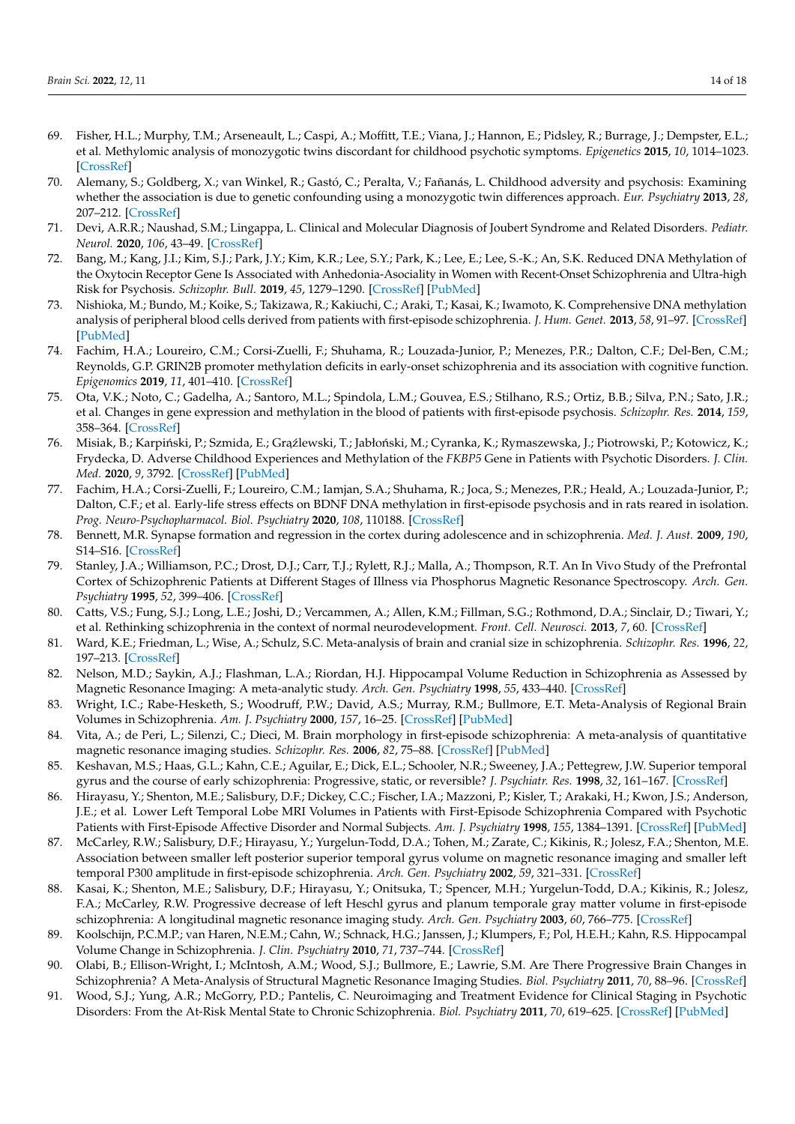- <span id="page-13-0"></span>69. Fisher, H.L.; Murphy, T.M.; Arseneault, L.; Caspi, A.; Moffitt, T.E.; Viana, J.; Hannon, E.; Pidsley, R.; Burrage, J.; Dempster, E.L.; et al. Methylomic analysis of monozygotic twins discordant for childhood psychotic symptoms. *Epigenetics* **2015**, *10*, 1014–1023. [\[CrossRef\]](http://doi.org/10.1080/15592294.2015.1099797)
- <span id="page-13-1"></span>70. Alemany, S.; Goldberg, X.; van Winkel, R.; Gastó, C.; Peralta, V.; Fañanás, L. Childhood adversity and psychosis: Examining whether the association is due to genetic confounding using a monozygotic twin differences approach. *Eur. Psychiatry* **2013**, *28*, 207–212. [\[CrossRef\]](http://doi.org/10.1016/j.eurpsy.2012.03.001)
- <span id="page-13-2"></span>71. Devi, A.R.R.; Naushad, S.M.; Lingappa, L. Clinical and Molecular Diagnosis of Joubert Syndrome and Related Disorders. *Pediatr. Neurol.* **2020**, *106*, 43–49. [\[CrossRef\]](http://doi.org/10.1016/j.pediatrneurol.2020.01.012)
- <span id="page-13-3"></span>72. Bang, M.; Kang, J.I.; Kim, S.J.; Park, J.Y.; Kim, K.R.; Lee, S.Y.; Park, K.; Lee, E.; Lee, S.-K.; An, S.K. Reduced DNA Methylation of the Oxytocin Receptor Gene Is Associated with Anhedonia-Asociality in Women with Recent-Onset Schizophrenia and Ultra-high Risk for Psychosis. *Schizophr. Bull.* **2019**, *45*, 1279–1290. [\[CrossRef\]](http://doi.org/10.1093/schbul/sbz016) [\[PubMed\]](http://www.ncbi.nlm.nih.gov/pubmed/31220321)
- <span id="page-13-4"></span>73. Nishioka, M.; Bundo, M.; Koike, S.; Takizawa, R.; Kakiuchi, C.; Araki, T.; Kasai, K.; Iwamoto, K. Comprehensive DNA methylation analysis of peripheral blood cells derived from patients with first-episode schizophrenia. *J. Hum. Genet.* **2013**, *58*, 91–97. [\[CrossRef\]](http://doi.org/10.1038/jhg.2012.140) [\[PubMed\]](http://www.ncbi.nlm.nih.gov/pubmed/23235336)
- <span id="page-13-5"></span>74. Fachim, H.A.; Loureiro, C.M.; Corsi-Zuelli, F.; Shuhama, R.; Louzada-Junior, P.; Menezes, P.R.; Dalton, C.F.; Del-Ben, C.M.; Reynolds, G.P. GRIN2B promoter methylation deficits in early-onset schizophrenia and its association with cognitive function. *Epigenomics* **2019**, *11*, 401–410. [\[CrossRef\]](http://doi.org/10.2217/epi-2018-0127)
- <span id="page-13-6"></span>75. Ota, V.K.; Noto, C.; Gadelha, A.; Santoro, M.L.; Spindola, L.M.; Gouvea, E.S.; Stilhano, R.S.; Ortiz, B.B.; Silva, P.N.; Sato, J.R.; et al. Changes in gene expression and methylation in the blood of patients with first-episode psychosis. *Schizophr. Res.* **2014**, *159*, 358–364. [\[CrossRef\]](http://doi.org/10.1016/j.schres.2014.09.008)
- <span id="page-13-7"></span>76. Misiak, B.; Karpiński, P.; Szmida, E.; Grąźlewski, T.; Jabłoński, M.; Cyranka, K.; Rymaszewska, J.; Piotrowski, P.; Kotowicz, K.; Frydecka, D. Adverse Childhood Experiences and Methylation of the *FKBP5* Gene in Patients with Psychotic Disorders. *J. Clin. Med.* **2020**, *9*, 3792. [\[CrossRef\]](http://doi.org/10.3390/jcm9123792) [\[PubMed\]](http://www.ncbi.nlm.nih.gov/pubmed/33255215)
- <span id="page-13-8"></span>77. Fachim, H.A.; Corsi-Zuelli, F.; Loureiro, C.M.; Iamjan, S.A.; Shuhama, R.; Joca, S.; Menezes, P.R.; Heald, A.; Louzada-Junior, P.; Dalton, C.F.; et al. Early-life stress effects on BDNF DNA methylation in first-episode psychosis and in rats reared in isolation. *Prog. Neuro-Psychopharmacol. Biol. Psychiatry* **2020**, *108*, 110188. [\[CrossRef\]](http://doi.org/10.1016/j.pnpbp.2020.110188)
- <span id="page-13-9"></span>78. Bennett, M.R. Synapse formation and regression in the cortex during adolescence and in schizophrenia. *Med. J. Aust.* **2009**, *190*, S14–S16. [\[CrossRef\]](http://doi.org/10.5694/j.1326-5377.2009.tb02368.x)
- <span id="page-13-10"></span>79. Stanley, J.A.; Williamson, P.C.; Drost, D.J.; Carr, T.J.; Rylett, R.J.; Malla, A.; Thompson, R.T. An In Vivo Study of the Prefrontal Cortex of Schizophrenic Patients at Different Stages of Illness via Phosphorus Magnetic Resonance Spectroscopy. *Arch. Gen. Psychiatry* **1995**, *52*, 399–406. [\[CrossRef\]](http://doi.org/10.1001/archpsyc.1995.03950170073010)
- <span id="page-13-11"></span>80. Catts, V.S.; Fung, S.J.; Long, L.E.; Joshi, D.; Vercammen, A.; Allen, K.M.; Fillman, S.G.; Rothmond, D.A.; Sinclair, D.; Tiwari, Y.; et al. Rethinking schizophrenia in the context of normal neurodevelopment. *Front. Cell. Neurosci.* **2013**, *7*, 60. [\[CrossRef\]](http://doi.org/10.3389/fncel.2013.00060)
- <span id="page-13-12"></span>81. Ward, K.E.; Friedman, L.; Wise, A.; Schulz, S.C. Meta-analysis of brain and cranial size in schizophrenia. *Schizophr. Res.* **1996**, *22*, 197–213. [\[CrossRef\]](http://doi.org/10.1016/S0920-9964(96)00076-X)
- 82. Nelson, M.D.; Saykin, A.J.; Flashman, L.A.; Riordan, H.J. Hippocampal Volume Reduction in Schizophrenia as Assessed by Magnetic Resonance Imaging: A meta-analytic study. *Arch. Gen. Psychiatry* **1998**, *55*, 433–440. [\[CrossRef\]](http://doi.org/10.1001/archpsyc.55.5.433)
- 83. Wright, I.C.; Rabe-Hesketh, S.; Woodruff, P.W.; David, A.S.; Murray, R.M.; Bullmore, E.T. Meta-Analysis of Regional Brain Volumes in Schizophrenia. *Am. J. Psychiatry* **2000**, *157*, 16–25. [\[CrossRef\]](http://doi.org/10.1176/ajp.157.1.16) [\[PubMed\]](http://www.ncbi.nlm.nih.gov/pubmed/10618008)
- <span id="page-13-13"></span>84. Vita, A.; de Peri, L.; Silenzi, C.; Dieci, M. Brain morphology in first-episode schizophrenia: A meta-analysis of quantitative magnetic resonance imaging studies. *Schizophr. Res.* **2006**, *82*, 75–88. [\[CrossRef\]](http://doi.org/10.1016/j.schres.2005.11.004) [\[PubMed\]](http://www.ncbi.nlm.nih.gov/pubmed/16377156)
- <span id="page-13-14"></span>85. Keshavan, M.S.; Haas, G.L.; Kahn, C.E.; Aguilar, E.; Dick, E.L.; Schooler, N.R.; Sweeney, J.A.; Pettegrew, J.W. Superior temporal gyrus and the course of early schizophrenia: Progressive, static, or reversible? *J. Psychiatr. Res.* **1998**, *32*, 161–167. [\[CrossRef\]](http://doi.org/10.1016/S0022-3956(97)00038-1)
- 86. Hirayasu, Y.; Shenton, M.E.; Salisbury, D.F.; Dickey, C.C.; Fischer, I.A.; Mazzoni, P.; Kisler, T.; Arakaki, H.; Kwon, J.S.; Anderson, J.E.; et al. Lower Left Temporal Lobe MRI Volumes in Patients with First-Episode Schizophrenia Compared with Psychotic Patients with First-Episode Affective Disorder and Normal Subjects. *Am. J. Psychiatry* **1998**, *155*, 1384–1391. [\[CrossRef\]](http://doi.org/10.1176/ajp.155.10.1384) [\[PubMed\]](http://www.ncbi.nlm.nih.gov/pubmed/9766770)
- 87. McCarley, R.W.; Salisbury, D.F.; Hirayasu, Y.; Yurgelun-Todd, D.A.; Tohen, M.; Zarate, C.; Kikinis, R.; Jolesz, F.A.; Shenton, M.E. Association between smaller left posterior superior temporal gyrus volume on magnetic resonance imaging and smaller left temporal P300 amplitude in first-episode schizophrenia. *Arch. Gen. Psychiatry* **2002**, *59*, 321–331. [\[CrossRef\]](http://doi.org/10.1001/archpsyc.59.4.321)
- 88. Kasai, K.; Shenton, M.E.; Salisbury, D.F.; Hirayasu, Y.; Onitsuka, T.; Spencer, M.H.; Yurgelun-Todd, D.A.; Kikinis, R.; Jolesz, F.A.; McCarley, R.W. Progressive decrease of left Heschl gyrus and planum temporale gray matter volume in first-episode schizophrenia: A longitudinal magnetic resonance imaging study. *Arch. Gen. Psychiatry* **2003**, *60*, 766–775. [\[CrossRef\]](http://doi.org/10.1001/archpsyc.60.8.766)
- <span id="page-13-15"></span>89. Koolschijn, P.C.M.P.; van Haren, N.E.M.; Cahn, W.; Schnack, H.G.; Janssen, J.; Klumpers, F.; Pol, H.E.H.; Kahn, R.S. Hippocampal Volume Change in Schizophrenia. *J. Clin. Psychiatry* **2010**, *71*, 737–744. [\[CrossRef\]](http://doi.org/10.4088/JCP.08m04574yel)
- <span id="page-13-16"></span>90. Olabi, B.; Ellison-Wright, I.; McIntosh, A.M.; Wood, S.J.; Bullmore, E.; Lawrie, S.M. Are There Progressive Brain Changes in Schizophrenia? A Meta-Analysis of Structural Magnetic Resonance Imaging Studies. *Biol. Psychiatry* **2011**, *70*, 88–96. [\[CrossRef\]](http://doi.org/10.1016/j.biopsych.2011.01.032)
- <span id="page-13-17"></span>91. Wood, S.J.; Yung, A.R.; McGorry, P.D.; Pantelis, C. Neuroimaging and Treatment Evidence for Clinical Staging in Psychotic Disorders: From the At-Risk Mental State to Chronic Schizophrenia. *Biol. Psychiatry* **2011**, *70*, 619–625. [\[CrossRef\]](http://doi.org/10.1016/j.biopsych.2011.05.034) [\[PubMed\]](http://www.ncbi.nlm.nih.gov/pubmed/21762875)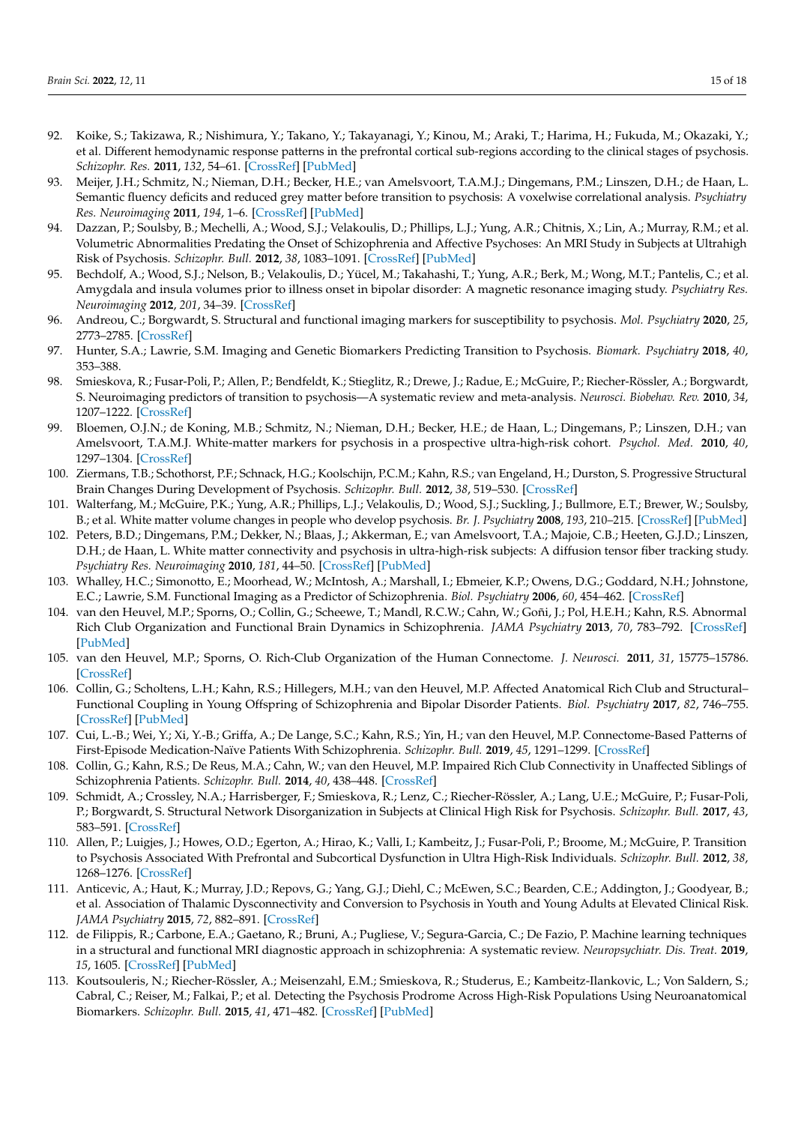- <span id="page-14-0"></span>92. Koike, S.; Takizawa, R.; Nishimura, Y.; Takano, Y.; Takayanagi, Y.; Kinou, M.; Araki, T.; Harima, H.; Fukuda, M.; Okazaki, Y.; et al. Different hemodynamic response patterns in the prefrontal cortical sub-regions according to the clinical stages of psychosis. *Schizophr. Res.* **2011**, *132*, 54–61. [\[CrossRef\]](http://doi.org/10.1016/j.schres.2011.07.014) [\[PubMed\]](http://www.ncbi.nlm.nih.gov/pubmed/21813266)
- <span id="page-14-1"></span>93. Meijer, J.H.; Schmitz, N.; Nieman, D.H.; Becker, H.E.; van Amelsvoort, T.A.M.J.; Dingemans, P.M.; Linszen, D.H.; de Haan, L. Semantic fluency deficits and reduced grey matter before transition to psychosis: A voxelwise correlational analysis. *Psychiatry Res. Neuroimaging* **2011**, *194*, 1–6. [\[CrossRef\]](http://doi.org/10.1016/j.pscychresns.2011.01.004) [\[PubMed\]](http://www.ncbi.nlm.nih.gov/pubmed/21831606)
- <span id="page-14-2"></span>94. Dazzan, P.; Soulsby, B.; Mechelli, A.; Wood, S.J.; Velakoulis, D.; Phillips, L.J.; Yung, A.R.; Chitnis, X.; Lin, A.; Murray, R.M.; et al. Volumetric Abnormalities Predating the Onset of Schizophrenia and Affective Psychoses: An MRI Study in Subjects at Ultrahigh Risk of Psychosis. *Schizophr. Bull.* **2012**, *38*, 1083–1091. [\[CrossRef\]](http://doi.org/10.1093/schbul/sbr035) [\[PubMed\]](http://www.ncbi.nlm.nih.gov/pubmed/21518921)
- <span id="page-14-3"></span>95. Bechdolf, A.; Wood, S.J.; Nelson, B.; Velakoulis, D.; Yücel, M.; Takahashi, T.; Yung, A.R.; Berk, M.; Wong, M.T.; Pantelis, C.; et al. Amygdala and insula volumes prior to illness onset in bipolar disorder: A magnetic resonance imaging study. *Psychiatry Res. Neuroimaging* **2012**, *201*, 34–39. [\[CrossRef\]](http://doi.org/10.1016/j.pscychresns.2011.06.010)
- <span id="page-14-4"></span>96. Andreou, C.; Borgwardt, S. Structural and functional imaging markers for susceptibility to psychosis. *Mol. Psychiatry* **2020**, *25*, 2773–2785. [\[CrossRef\]](http://doi.org/10.1038/s41380-020-0679-7)
- <span id="page-14-6"></span>97. Hunter, S.A.; Lawrie, S.M. Imaging and Genetic Biomarkers Predicting Transition to Psychosis. *Biomark. Psychiatry* **2018**, *40*, 353–388.
- <span id="page-14-5"></span>98. Smieskova, R.; Fusar-Poli, P.; Allen, P.; Bendfeldt, K.; Stieglitz, R.; Drewe, J.; Radue, E.; McGuire, P.; Riecher-Rössler, A.; Borgwardt, S. Neuroimaging predictors of transition to psychosis—A systematic review and meta-analysis. *Neurosci. Biobehav. Rev.* **2010**, *34*, 1207–1222. [\[CrossRef\]](http://doi.org/10.1016/j.neubiorev.2010.01.016)
- <span id="page-14-7"></span>99. Bloemen, O.J.N.; de Koning, M.B.; Schmitz, N.; Nieman, D.H.; Becker, H.E.; de Haan, L.; Dingemans, P.; Linszen, D.H.; van Amelsvoort, T.A.M.J. White-matter markers for psychosis in a prospective ultra-high-risk cohort. *Psychol. Med.* **2010**, *40*, 1297–1304. [\[CrossRef\]](http://doi.org/10.1017/S0033291709991711)
- 100. Ziermans, T.B.; Schothorst, P.F.; Schnack, H.G.; Koolschijn, P.C.M.; Kahn, R.S.; van Engeland, H.; Durston, S. Progressive Structural Brain Changes During Development of Psychosis. *Schizophr. Bull.* **2012**, *38*, 519–530. [\[CrossRef\]](http://doi.org/10.1093/schbul/sbq113)
- <span id="page-14-8"></span>101. Walterfang, M.; McGuire, P.K.; Yung, A.R.; Phillips, L.J.; Velakoulis, D.; Wood, S.J.; Suckling, J.; Bullmore, E.T.; Brewer, W.; Soulsby, B.; et al. White matter volume changes in people who develop psychosis. *Br. J. Psychiatry* **2008**, *193*, 210–215. [\[CrossRef\]](http://doi.org/10.1192/bjp.bp.107.043463) [\[PubMed\]](http://www.ncbi.nlm.nih.gov/pubmed/18757979)
- <span id="page-14-9"></span>102. Peters, B.D.; Dingemans, P.M.; Dekker, N.; Blaas, J.; Akkerman, E.; van Amelsvoort, T.A.; Majoie, C.B.; Heeten, G.J.D.; Linszen, D.H.; de Haan, L. White matter connectivity and psychosis in ultra-high-risk subjects: A diffusion tensor fiber tracking study. *Psychiatry Res. Neuroimaging* **2010**, *181*, 44–50. [\[CrossRef\]](http://doi.org/10.1016/j.pscychresns.2009.10.008) [\[PubMed\]](http://www.ncbi.nlm.nih.gov/pubmed/19954931)
- <span id="page-14-10"></span>103. Whalley, H.C.; Simonotto, E.; Moorhead, W.; McIntosh, A.; Marshall, I.; Ebmeier, K.P.; Owens, D.G.; Goddard, N.H.; Johnstone, E.C.; Lawrie, S.M. Functional Imaging as a Predictor of Schizophrenia. *Biol. Psychiatry* **2006**, *60*, 454–462. [\[CrossRef\]](http://doi.org/10.1016/j.biopsych.2005.11.013)
- <span id="page-14-11"></span>104. van den Heuvel, M.P.; Sporns, O.; Collin, G.; Scheewe, T.; Mandl, R.C.W.; Cahn, W.; Goñi, J.; Pol, H.E.H.; Kahn, R.S. Abnormal Rich Club Organization and Functional Brain Dynamics in Schizophrenia. *JAMA Psychiatry* **2013**, *70*, 783–792. [\[CrossRef\]](http://doi.org/10.1001/jamapsychiatry.2013.1328) [\[PubMed\]](http://www.ncbi.nlm.nih.gov/pubmed/23739835)
- <span id="page-14-12"></span>105. van den Heuvel, M.P.; Sporns, O. Rich-Club Organization of the Human Connectome. *J. Neurosci.* **2011**, *31*, 15775–15786. [\[CrossRef\]](http://doi.org/10.1523/JNEUROSCI.3539-11.2011)
- <span id="page-14-13"></span>106. Collin, G.; Scholtens, L.H.; Kahn, R.S.; Hillegers, M.H.; van den Heuvel, M.P. Affected Anatomical Rich Club and Structural– Functional Coupling in Young Offspring of Schizophrenia and Bipolar Disorder Patients. *Biol. Psychiatry* **2017**, *82*, 746–755. [\[CrossRef\]](http://doi.org/10.1016/j.biopsych.2017.06.013) [\[PubMed\]](http://www.ncbi.nlm.nih.gov/pubmed/28734460)
- 107. Cui, L.-B.; Wei, Y.; Xi, Y.-B.; Griffa, A.; De Lange, S.C.; Kahn, R.S.; Yin, H.; van den Heuvel, M.P. Connectome-Based Patterns of First-Episode Medication-Naïve Patients With Schizophrenia. *Schizophr. Bull.* **2019**, *45*, 1291–1299. [\[CrossRef\]](http://doi.org/10.1093/schbul/sbz014)
- <span id="page-14-14"></span>108. Collin, G.; Kahn, R.S.; De Reus, M.A.; Cahn, W.; van den Heuvel, M.P. Impaired Rich Club Connectivity in Unaffected Siblings of Schizophrenia Patients. *Schizophr. Bull.* **2014**, *40*, 438–448. [\[CrossRef\]](http://doi.org/10.1093/schbul/sbt162)
- <span id="page-14-15"></span>109. Schmidt, A.; Crossley, N.A.; Harrisberger, F.; Smieskova, R.; Lenz, C.; Riecher-Rössler, A.; Lang, U.E.; McGuire, P.; Fusar-Poli, P.; Borgwardt, S. Structural Network Disorganization in Subjects at Clinical High Risk for Psychosis. *Schizophr. Bull.* **2017**, *43*, 583–591. [\[CrossRef\]](http://doi.org/10.1093/schbul/sbw110)
- <span id="page-14-16"></span>110. Allen, P.; Luigjes, J.; Howes, O.D.; Egerton, A.; Hirao, K.; Valli, I.; Kambeitz, J.; Fusar-Poli, P.; Broome, M.; McGuire, P. Transition to Psychosis Associated With Prefrontal and Subcortical Dysfunction in Ultra High-Risk Individuals. *Schizophr. Bull.* **2012**, *38*, 1268–1276. [\[CrossRef\]](http://doi.org/10.1093/schbul/sbr194)
- <span id="page-14-17"></span>111. Anticevic, A.; Haut, K.; Murray, J.D.; Repovs, G.; Yang, G.J.; Diehl, C.; McEwen, S.C.; Bearden, C.E.; Addington, J.; Goodyear, B.; et al. Association of Thalamic Dysconnectivity and Conversion to Psychosis in Youth and Young Adults at Elevated Clinical Risk. *JAMA Psychiatry* **2015**, *72*, 882–891. [\[CrossRef\]](http://doi.org/10.1001/jamapsychiatry.2015.0566)
- <span id="page-14-18"></span>112. de Filippis, R.; Carbone, E.A.; Gaetano, R.; Bruni, A.; Pugliese, V.; Segura-Garcia, C.; De Fazio, P. Machine learning techniques in a structural and functional MRI diagnostic approach in schizophrenia: A systematic review. *Neuropsychiatr. Dis. Treat.* **2019**, *15*, 1605. [\[CrossRef\]](http://doi.org/10.2147/NDT.S202418) [\[PubMed\]](http://www.ncbi.nlm.nih.gov/pubmed/31354276)
- <span id="page-14-19"></span>113. Koutsouleris, N.; Riecher-Rössler, A.; Meisenzahl, E.M.; Smieskova, R.; Studerus, E.; Kambeitz-Ilankovic, L.; Von Saldern, S.; Cabral, C.; Reiser, M.; Falkai, P.; et al. Detecting the Psychosis Prodrome Across High-Risk Populations Using Neuroanatomical Biomarkers. *Schizophr. Bull.* **2015**, *41*, 471–482. [\[CrossRef\]](http://doi.org/10.1093/schbul/sbu078) [\[PubMed\]](http://www.ncbi.nlm.nih.gov/pubmed/24914177)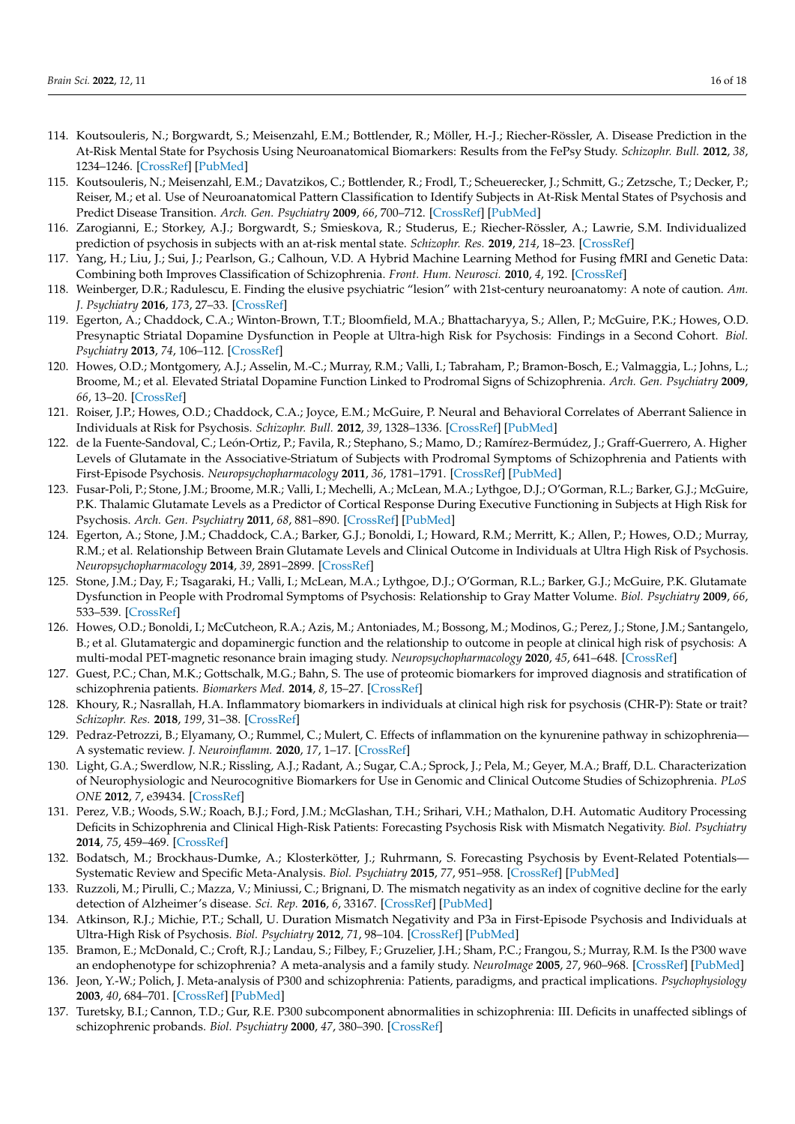- 114. Koutsouleris, N.; Borgwardt, S.; Meisenzahl, E.M.; Bottlender, R.; Möller, H.-J.; Riecher-Rössler, A. Disease Prediction in the At-Risk Mental State for Psychosis Using Neuroanatomical Biomarkers: Results from the FePsy Study. *Schizophr. Bull.* **2012**, *38*, 1234–1246. [\[CrossRef\]](http://doi.org/10.1093/schbul/sbr145) [\[PubMed\]](http://www.ncbi.nlm.nih.gov/pubmed/22080496)
- 115. Koutsouleris, N.; Meisenzahl, E.M.; Davatzikos, C.; Bottlender, R.; Frodl, T.; Scheuerecker, J.; Schmitt, G.; Zetzsche, T.; Decker, P.; Reiser, M.; et al. Use of Neuroanatomical Pattern Classification to Identify Subjects in At-Risk Mental States of Psychosis and Predict Disease Transition. *Arch. Gen. Psychiatry* **2009**, *66*, 700–712. [\[CrossRef\]](http://doi.org/10.1001/archgenpsychiatry.2009.62) [\[PubMed\]](http://www.ncbi.nlm.nih.gov/pubmed/19581561)
- <span id="page-15-0"></span>116. Zarogianni, E.; Storkey, A.J.; Borgwardt, S.; Smieskova, R.; Studerus, E.; Riecher-Rössler, A.; Lawrie, S.M. Individualized prediction of psychosis in subjects with an at-risk mental state. *Schizophr. Res.* **2019**, *214*, 18–23. [\[CrossRef\]](http://doi.org/10.1016/j.schres.2017.08.061)
- <span id="page-15-1"></span>117. Yang, H.; Liu, J.; Sui, J.; Pearlson, G.; Calhoun, V.D. A Hybrid Machine Learning Method for Fusing fMRI and Genetic Data: Combining both Improves Classification of Schizophrenia. *Front. Hum. Neurosci.* **2010**, *4*, 192. [\[CrossRef\]](http://doi.org/10.3389/fnhum.2010.00192)
- <span id="page-15-2"></span>118. Weinberger, D.R.; Radulescu, E. Finding the elusive psychiatric "lesion" with 21st-century neuroanatomy: A note of caution. *Am. J. Psychiatry* **2016**, *173*, 27–33. [\[CrossRef\]](http://doi.org/10.1176/appi.ajp.2015.15060753)
- <span id="page-15-3"></span>119. Egerton, A.; Chaddock, C.A.; Winton-Brown, T.T.; Bloomfield, M.A.; Bhattacharyya, S.; Allen, P.; McGuire, P.K.; Howes, O.D. Presynaptic Striatal Dopamine Dysfunction in People at Ultra-high Risk for Psychosis: Findings in a Second Cohort. *Biol. Psychiatry* **2013**, *74*, 106–112. [\[CrossRef\]](http://doi.org/10.1016/j.biopsych.2012.11.017)
- <span id="page-15-4"></span>120. Howes, O.D.; Montgomery, A.J.; Asselin, M.-C.; Murray, R.M.; Valli, I.; Tabraham, P.; Bramon-Bosch, E.; Valmaggia, L.; Johns, L.; Broome, M.; et al. Elevated Striatal Dopamine Function Linked to Prodromal Signs of Schizophrenia. *Arch. Gen. Psychiatry* **2009**, *66*, 13–20. [\[CrossRef\]](http://doi.org/10.1001/archgenpsychiatry.2008.514)
- <span id="page-15-5"></span>121. Roiser, J.P.; Howes, O.D.; Chaddock, C.A.; Joyce, E.M.; McGuire, P. Neural and Behavioral Correlates of Aberrant Salience in Individuals at Risk for Psychosis. *Schizophr. Bull.* **2012**, *39*, 1328–1336. [\[CrossRef\]](http://doi.org/10.1093/schbul/sbs147) [\[PubMed\]](http://www.ncbi.nlm.nih.gov/pubmed/23236077)
- <span id="page-15-6"></span>122. de la Fuente-Sandoval, C.; León-Ortiz, P.; Favila, R.; Stephano, S.; Mamo, D.; Ramírez-Bermúdez, J.; Graff-Guerrero, A. Higher Levels of Glutamate in the Associative-Striatum of Subjects with Prodromal Symptoms of Schizophrenia and Patients with First-Episode Psychosis. *Neuropsychopharmacology* **2011**, *36*, 1781–1791. [\[CrossRef\]](http://doi.org/10.1038/npp.2011.65) [\[PubMed\]](http://www.ncbi.nlm.nih.gov/pubmed/21508933)
- 123. Fusar-Poli, P.; Stone, J.M.; Broome, M.R.; Valli, I.; Mechelli, A.; McLean, M.A.; Lythgoe, D.J.; O'Gorman, R.L.; Barker, G.J.; McGuire, P.K. Thalamic Glutamate Levels as a Predictor of Cortical Response During Executive Functioning in Subjects at High Risk for Psychosis. *Arch. Gen. Psychiatry* **2011**, *68*, 881–890. [\[CrossRef\]](http://doi.org/10.1001/archgenpsychiatry.2011.46) [\[PubMed\]](http://www.ncbi.nlm.nih.gov/pubmed/21536967)
- 124. Egerton, A.; Stone, J.M.; Chaddock, C.A.; Barker, G.J.; Bonoldi, I.; Howard, R.M.; Merritt, K.; Allen, P.; Howes, O.D.; Murray, R.M.; et al. Relationship Between Brain Glutamate Levels and Clinical Outcome in Individuals at Ultra High Risk of Psychosis. *Neuropsychopharmacology* **2014**, *39*, 2891–2899. [\[CrossRef\]](http://doi.org/10.1038/npp.2014.143)
- <span id="page-15-7"></span>125. Stone, J.M.; Day, F.; Tsagaraki, H.; Valli, I.; McLean, M.A.; Lythgoe, D.J.; O'Gorman, R.L.; Barker, G.J.; McGuire, P.K. Glutamate Dysfunction in People with Prodromal Symptoms of Psychosis: Relationship to Gray Matter Volume. *Biol. Psychiatry* **2009**, *66*, 533–539. [\[CrossRef\]](http://doi.org/10.1016/j.biopsych.2009.05.006)
- <span id="page-15-8"></span>126. Howes, O.D.; Bonoldi, I.; McCutcheon, R.A.; Azis, M.; Antoniades, M.; Bossong, M.; Modinos, G.; Perez, J.; Stone, J.M.; Santangelo, B.; et al. Glutamatergic and dopaminergic function and the relationship to outcome in people at clinical high risk of psychosis: A multi-modal PET-magnetic resonance brain imaging study. *Neuropsychopharmacology* **2020**, *45*, 641–648. [\[CrossRef\]](http://doi.org/10.1038/s41386-019-0541-2)
- <span id="page-15-9"></span>127. Guest, P.C.; Chan, M.K.; Gottschalk, M.G.; Bahn, S. The use of proteomic biomarkers for improved diagnosis and stratification of schizophrenia patients. *Biomarkers Med.* **2014**, *8*, 15–27. [\[CrossRef\]](http://doi.org/10.2217/bmm.13.83)
- <span id="page-15-10"></span>128. Khoury, R.; Nasrallah, H.A. Inflammatory biomarkers in individuals at clinical high risk for psychosis (CHR-P): State or trait? *Schizophr. Res.* **2018**, *199*, 31–38. [\[CrossRef\]](http://doi.org/10.1016/j.schres.2018.04.017)
- <span id="page-15-11"></span>129. Pedraz-Petrozzi, B.; Elyamany, O.; Rummel, C.; Mulert, C. Effects of inflammation on the kynurenine pathway in schizophrenia— A systematic review. *J. Neuroinflamm.* **2020**, *17*, 1–17. [\[CrossRef\]](http://doi.org/10.1186/s12974-020-1721-z)
- <span id="page-15-12"></span>130. Light, G.A.; Swerdlow, N.R.; Rissling, A.J.; Radant, A.; Sugar, C.A.; Sprock, J.; Pela, M.; Geyer, M.A.; Braff, D.L. Characterization of Neurophysiologic and Neurocognitive Biomarkers for Use in Genomic and Clinical Outcome Studies of Schizophrenia. *PLoS ONE* **2012**, *7*, e39434. [\[CrossRef\]](http://doi.org/10.1371/journal.pone.0039434)
- <span id="page-15-15"></span>131. Perez, V.B.; Woods, S.W.; Roach, B.J.; Ford, J.M.; McGlashan, T.H.; Srihari, V.H.; Mathalon, D.H. Automatic Auditory Processing Deficits in Schizophrenia and Clinical High-Risk Patients: Forecasting Psychosis Risk with Mismatch Negativity. *Biol. Psychiatry* **2014**, *75*, 459–469. [\[CrossRef\]](http://doi.org/10.1016/j.biopsych.2013.07.038)
- <span id="page-15-13"></span>132. Bodatsch, M.; Brockhaus-Dumke, A.; Klosterkötter, J.; Ruhrmann, S. Forecasting Psychosis by Event-Related Potentials— Systematic Review and Specific Meta-Analysis. *Biol. Psychiatry* **2015**, *77*, 951–958. [\[CrossRef\]](http://doi.org/10.1016/j.biopsych.2014.09.025) [\[PubMed\]](http://www.ncbi.nlm.nih.gov/pubmed/25636178)
- <span id="page-15-14"></span>133. Ruzzoli, M.; Pirulli, C.; Mazza, V.; Miniussi, C.; Brignani, D. The mismatch negativity as an index of cognitive decline for the early detection of Alzheimer's disease. *Sci. Rep.* **2016**, *6*, 33167. [\[CrossRef\]](http://doi.org/10.1038/srep33167) [\[PubMed\]](http://www.ncbi.nlm.nih.gov/pubmed/27616726)
- <span id="page-15-16"></span>134. Atkinson, R.J.; Michie, P.T.; Schall, U. Duration Mismatch Negativity and P3a in First-Episode Psychosis and Individuals at Ultra-High Risk of Psychosis. *Biol. Psychiatry* **2012**, *71*, 98–104. [\[CrossRef\]](http://doi.org/10.1016/j.biopsych.2011.08.023) [\[PubMed\]](http://www.ncbi.nlm.nih.gov/pubmed/22000060)
- <span id="page-15-17"></span>135. Bramon, E.; McDonald, C.; Croft, R.J.; Landau, S.; Filbey, F.; Gruzelier, J.H.; Sham, P.C.; Frangou, S.; Murray, R.M. Is the P300 wave an endophenotype for schizophrenia? A meta-analysis and a family study. *NeuroImage* **2005**, *27*, 960–968. [\[CrossRef\]](http://doi.org/10.1016/j.neuroimage.2005.05.022) [\[PubMed\]](http://www.ncbi.nlm.nih.gov/pubmed/16009570)
- 136. Jeon, Y.-W.; Polich, J. Meta-analysis of P300 and schizophrenia: Patients, paradigms, and practical implications. *Psychophysiology* **2003**, *40*, 684–701. [\[CrossRef\]](http://doi.org/10.1111/1469-8986.00070) [\[PubMed\]](http://www.ncbi.nlm.nih.gov/pubmed/14696723)
- <span id="page-15-18"></span>137. Turetsky, B.I.; Cannon, T.D.; Gur, R.E. P300 subcomponent abnormalities in schizophrenia: III. Deficits in unaffected siblings of schizophrenic probands. *Biol. Psychiatry* **2000**, *47*, 380–390. [\[CrossRef\]](http://doi.org/10.1016/S0006-3223(99)00290-5)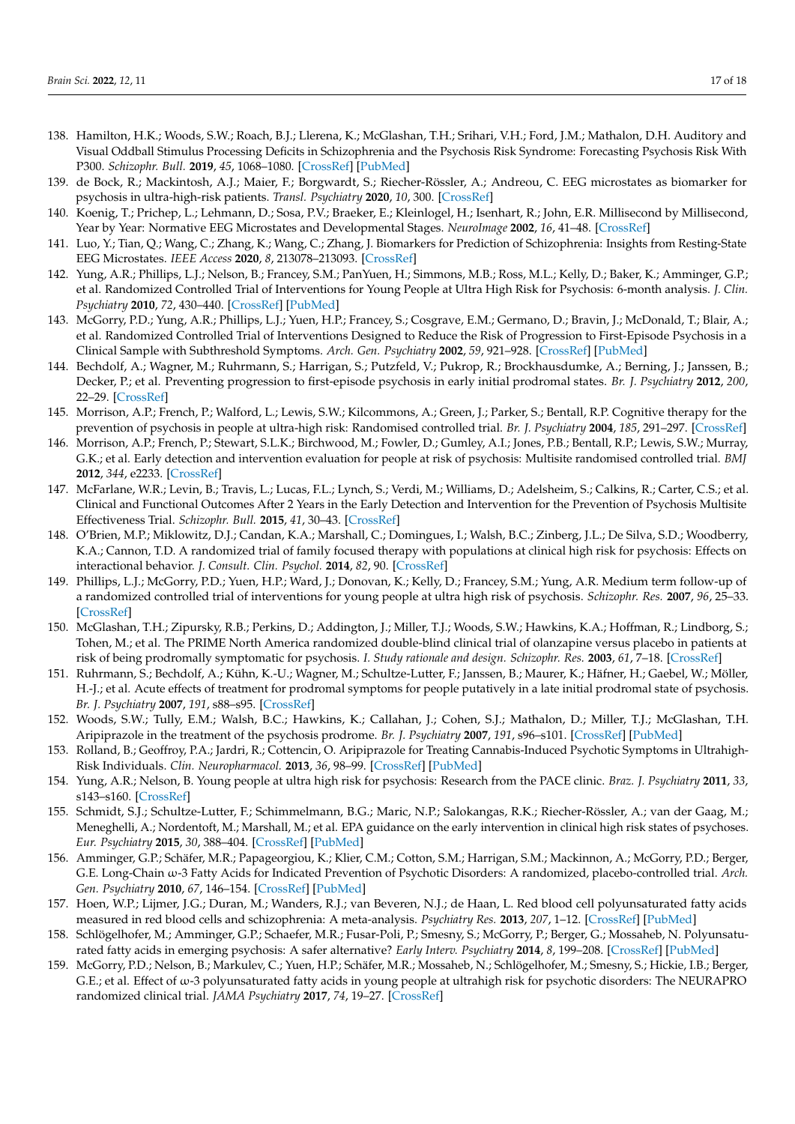- <span id="page-16-0"></span>138. Hamilton, H.K.; Woods, S.W.; Roach, B.J.; Llerena, K.; McGlashan, T.H.; Srihari, V.H.; Ford, J.M.; Mathalon, D.H. Auditory and Visual Oddball Stimulus Processing Deficits in Schizophrenia and the Psychosis Risk Syndrome: Forecasting Psychosis Risk With P300. *Schizophr. Bull.* **2019**, *45*, 1068–1080. [\[CrossRef\]](http://doi.org/10.1093/schbul/sby167) [\[PubMed\]](http://www.ncbi.nlm.nih.gov/pubmed/30753731)
- <span id="page-16-1"></span>139. de Bock, R.; Mackintosh, A.J.; Maier, F.; Borgwardt, S.; Riecher-Rössler, A.; Andreou, C. EEG microstates as biomarker for psychosis in ultra-high-risk patients. *Transl. Psychiatry* **2020**, *10*, 300. [\[CrossRef\]](http://doi.org/10.1038/s41398-020-00963-7)
- <span id="page-16-2"></span>140. Koenig, T.; Prichep, L.; Lehmann, D.; Sosa, P.V.; Braeker, E.; Kleinlogel, H.; Isenhart, R.; John, E.R. Millisecond by Millisecond, Year by Year: Normative EEG Microstates and Developmental Stages. *NeuroImage* **2002**, *16*, 41–48. [\[CrossRef\]](http://doi.org/10.1006/nimg.2002.1070)
- <span id="page-16-3"></span>141. Luo, Y.; Tian, Q.; Wang, C.; Zhang, K.; Wang, C.; Zhang, J. Biomarkers for Prediction of Schizophrenia: Insights from Resting-State EEG Microstates. *IEEE Access* **2020**, *8*, 213078–213093. [\[CrossRef\]](http://doi.org/10.1109/ACCESS.2020.3037658)
- <span id="page-16-4"></span>142. Yung, A.R.; Phillips, L.J.; Nelson, B.; Francey, S.M.; PanYuen, H.; Simmons, M.B.; Ross, M.L.; Kelly, D.; Baker, K.; Amminger, G.P.; et al. Randomized Controlled Trial of Interventions for Young People at Ultra High Risk for Psychosis: 6-month analysis. *J. Clin. Psychiatry* **2010**, *72*, 430–440. [\[CrossRef\]](http://doi.org/10.4088/JCP.08m04979ora) [\[PubMed\]](http://www.ncbi.nlm.nih.gov/pubmed/21034687)
- <span id="page-16-6"></span>143. McGorry, P.D.; Yung, A.R.; Phillips, L.J.; Yuen, H.P.; Francey, S.; Cosgrave, E.M.; Germano, D.; Bravin, J.; McDonald, T.; Blair, A.; et al. Randomized Controlled Trial of Interventions Designed to Reduce the Risk of Progression to First-Episode Psychosis in a Clinical Sample with Subthreshold Symptoms. *Arch. Gen. Psychiatry* **2002**, *59*, 921–928. [\[CrossRef\]](http://doi.org/10.1001/archpsyc.59.10.921) [\[PubMed\]](http://www.ncbi.nlm.nih.gov/pubmed/12365879)
- <span id="page-16-7"></span>144. Bechdolf, A.; Wagner, M.; Ruhrmann, S.; Harrigan, S.; Putzfeld, V.; Pukrop, R.; Brockhausdumke, A.; Berning, J.; Janssen, B.; Decker, P.; et al. Preventing progression to first-episode psychosis in early initial prodromal states. *Br. J. Psychiatry* **2012**, *200*, 22–29. [\[CrossRef\]](http://doi.org/10.1192/bjp.bp.109.066357)
- 145. Morrison, A.P.; French, P.; Walford, L.; Lewis, S.W.; Kilcommons, A.; Green, J.; Parker, S.; Bentall, R.P. Cognitive therapy for the prevention of psychosis in people at ultra-high risk: Randomised controlled trial. *Br. J. Psychiatry* **2004**, *185*, 291–297. [\[CrossRef\]](http://doi.org/10.1192/bjp.185.4.291)
- <span id="page-16-5"></span>146. Morrison, A.P.; French, P.; Stewart, S.L.K.; Birchwood, M.; Fowler, D.; Gumley, A.I.; Jones, P.B.; Bentall, R.P.; Lewis, S.W.; Murray, G.K.; et al. Early detection and intervention evaluation for people at risk of psychosis: Multisite randomised controlled trial. *BMJ* **2012**, *344*, e2233. [\[CrossRef\]](http://doi.org/10.1136/bmj.e2233)
- 147. McFarlane, W.R.; Levin, B.; Travis, L.; Lucas, F.L.; Lynch, S.; Verdi, M.; Williams, D.; Adelsheim, S.; Calkins, R.; Carter, C.S.; et al. Clinical and Functional Outcomes After 2 Years in the Early Detection and Intervention for the Prevention of Psychosis Multisite Effectiveness Trial. *Schizophr. Bull.* **2015**, *41*, 30–43. [\[CrossRef\]](http://doi.org/10.1093/schbul/sbu108)
- <span id="page-16-8"></span>148. O'Brien, M.P.; Miklowitz, D.J.; Candan, K.A.; Marshall, C.; Domingues, I.; Walsh, B.C.; Zinberg, J.L.; De Silva, S.D.; Woodberry, K.A.; Cannon, T.D. A randomized trial of family focused therapy with populations at clinical high risk for psychosis: Effects on interactional behavior. *J. Consult. Clin. Psychol.* **2014**, *82*, 90. [\[CrossRef\]](http://doi.org/10.1037/a0034667)
- <span id="page-16-9"></span>149. Phillips, L.J.; McGorry, P.D.; Yuen, H.P.; Ward, J.; Donovan, K.; Kelly, D.; Francey, S.M.; Yung, A.R. Medium term follow-up of a randomized controlled trial of interventions for young people at ultra high risk of psychosis. *Schizophr. Res.* **2007**, *96*, 25–33. [\[CrossRef\]](http://doi.org/10.1016/j.schres.2007.05.018)
- 150. McGlashan, T.H.; Zipursky, R.B.; Perkins, D.; Addington, J.; Miller, T.J.; Woods, S.W.; Hawkins, K.A.; Hoffman, R.; Lindborg, S.; Tohen, M.; et al. The PRIME North America randomized double-blind clinical trial of olanzapine versus placebo in patients at risk of being prodromally symptomatic for psychosis. *I. Study rationale and design. Schizophr. Res.* **2003**, *61*, 7–18. [\[CrossRef\]](http://doi.org/10.1016/S0920-9964(02)00439-5)
- 151. Ruhrmann, S.; Bechdolf, A.; Kühn, K.-U.; Wagner, M.; Schultze-Lutter, F.; Janssen, B.; Maurer, K.; Häfner, H.; Gaebel, W.; Möller, H.-J.; et al. Acute effects of treatment for prodromal symptoms for people putatively in a late initial prodromal state of psychosis. *Br. J. Psychiatry* **2007**, *191*, s88–s95. [\[CrossRef\]](http://doi.org/10.1192/bjp.191.51.s88)
- 152. Woods, S.W.; Tully, E.M.; Walsh, B.C.; Hawkins, K.; Callahan, J.; Cohen, S.J.; Mathalon, D.; Miller, T.J.; McGlashan, T.H. Aripiprazole in the treatment of the psychosis prodrome. *Br. J. Psychiatry* **2007**, *191*, s96–s101. [\[CrossRef\]](http://doi.org/10.1192/bjp.191.51.s96) [\[PubMed\]](http://www.ncbi.nlm.nih.gov/pubmed/18055946)
- 153. Rolland, B.; Geoffroy, P.A.; Jardri, R.; Cottencin, O. Aripiprazole for Treating Cannabis-Induced Psychotic Symptoms in Ultrahigh-Risk Individuals. *Clin. Neuropharmacol.* **2013**, *36*, 98–99. [\[CrossRef\]](http://doi.org/10.1097/WNF.0b013e3182908330) [\[PubMed\]](http://www.ncbi.nlm.nih.gov/pubmed/23673914)
- <span id="page-16-10"></span>154. Yung, A.R.; Nelson, B. Young people at ultra high risk for psychosis: Research from the PACE clinic. *Braz. J. Psychiatry* **2011**, *33*, s143–s160. [\[CrossRef\]](http://doi.org/10.1590/S1516-44462011000600003)
- <span id="page-16-11"></span>155. Schmidt, S.J.; Schultze-Lutter, F.; Schimmelmann, B.G.; Maric, N.P.; Salokangas, R.K.; Riecher-Rössler, A.; van der Gaag, M.; Meneghelli, A.; Nordentoft, M.; Marshall, M.; et al. EPA guidance on the early intervention in clinical high risk states of psychoses. *Eur. Psychiatry* **2015**, *30*, 388–404. [\[CrossRef\]](http://doi.org/10.1016/j.eurpsy.2015.01.013) [\[PubMed\]](http://www.ncbi.nlm.nih.gov/pubmed/25749390)
- <span id="page-16-12"></span>156. Amminger, G.P.; Schäfer, M.R.; Papageorgiou, K.; Klier, C.M.; Cotton, S.M.; Harrigan, S.M.; Mackinnon, A.; McGorry, P.D.; Berger, G.E. Long-Chain ω-3 Fatty Acids for Indicated Prevention of Psychotic Disorders: A randomized, placebo-controlled trial. *Arch. Gen. Psychiatry* **2010**, *67*, 146–154. [\[CrossRef\]](http://doi.org/10.1001/archgenpsychiatry.2009.192) [\[PubMed\]](http://www.ncbi.nlm.nih.gov/pubmed/20124114)
- 157. Hoen, W.P.; Lijmer, J.G.; Duran, M.; Wanders, R.J.; van Beveren, N.J.; de Haan, L. Red blood cell polyunsaturated fatty acids measured in red blood cells and schizophrenia: A meta-analysis. *Psychiatry Res.* **2013**, *207*, 1–12. [\[CrossRef\]](http://doi.org/10.1016/j.psychres.2012.09.041) [\[PubMed\]](http://www.ncbi.nlm.nih.gov/pubmed/23068078)
- <span id="page-16-13"></span>158. Schlögelhofer, M.; Amminger, G.P.; Schaefer, M.R.; Fusar-Poli, P.; Smesny, S.; McGorry, P.; Berger, G.; Mossaheb, N. Polyunsaturated fatty acids in emerging psychosis: A safer alternative? *Early Interv. Psychiatry* **2014**, *8*, 199–208. [\[CrossRef\]](http://doi.org/10.1111/eip.12151) [\[PubMed\]](http://www.ncbi.nlm.nih.gov/pubmed/24861004)
- <span id="page-16-14"></span>159. McGorry, P.D.; Nelson, B.; Markulev, C.; Yuen, H.P.; Schäfer, M.R.; Mossaheb, N.; Schlögelhofer, M.; Smesny, S.; Hickie, I.B.; Berger, G.E.; et al. Effect of ω-3 polyunsaturated fatty acids in young people at ultrahigh risk for psychotic disorders: The NEURAPRO randomized clinical trial. *JAMA Psychiatry* **2017**, *74*, 19–27. [\[CrossRef\]](http://doi.org/10.1001/jamapsychiatry.2016.2902)